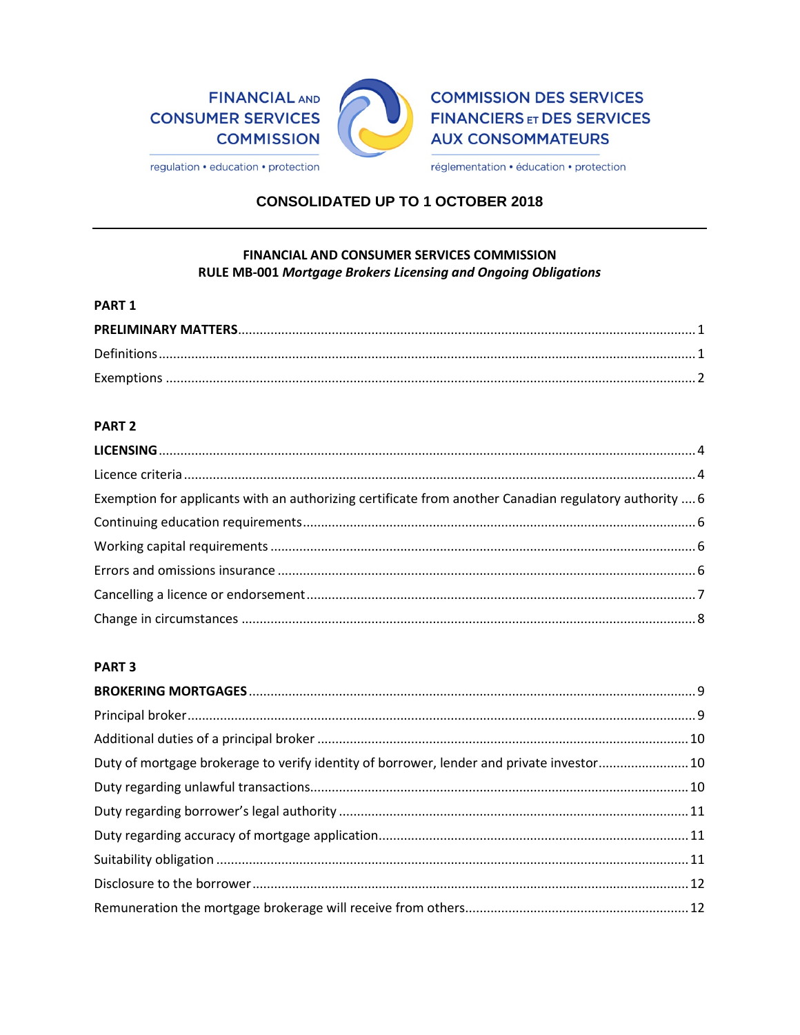

**COMMISSION DES SERVICES FINANCIERS ET DES SERVICES AUX CONSOMMATEURS** 

regulation • education • protection

réglementation · éducation · protection

## **CONSOLIDATED UP TO 1 OCTOBER 2018**

## **FINANCIAL AND CONSUMER SERVICES COMMISSION** RULE MB-001 Mortgage Brokers Licensing and Ongoing Obligations

#### PART<sub>1</sub>

## PART<sub>2</sub>

| Exemption for applicants with an authorizing certificate from another Canadian regulatory authority  6 |  |
|--------------------------------------------------------------------------------------------------------|--|
|                                                                                                        |  |
|                                                                                                        |  |
|                                                                                                        |  |
|                                                                                                        |  |
|                                                                                                        |  |

## PART<sub>3</sub>

| Duty of mortgage brokerage to verify identity of borrower, lender and private investor10 |  |
|------------------------------------------------------------------------------------------|--|
|                                                                                          |  |
|                                                                                          |  |
|                                                                                          |  |
|                                                                                          |  |
|                                                                                          |  |
|                                                                                          |  |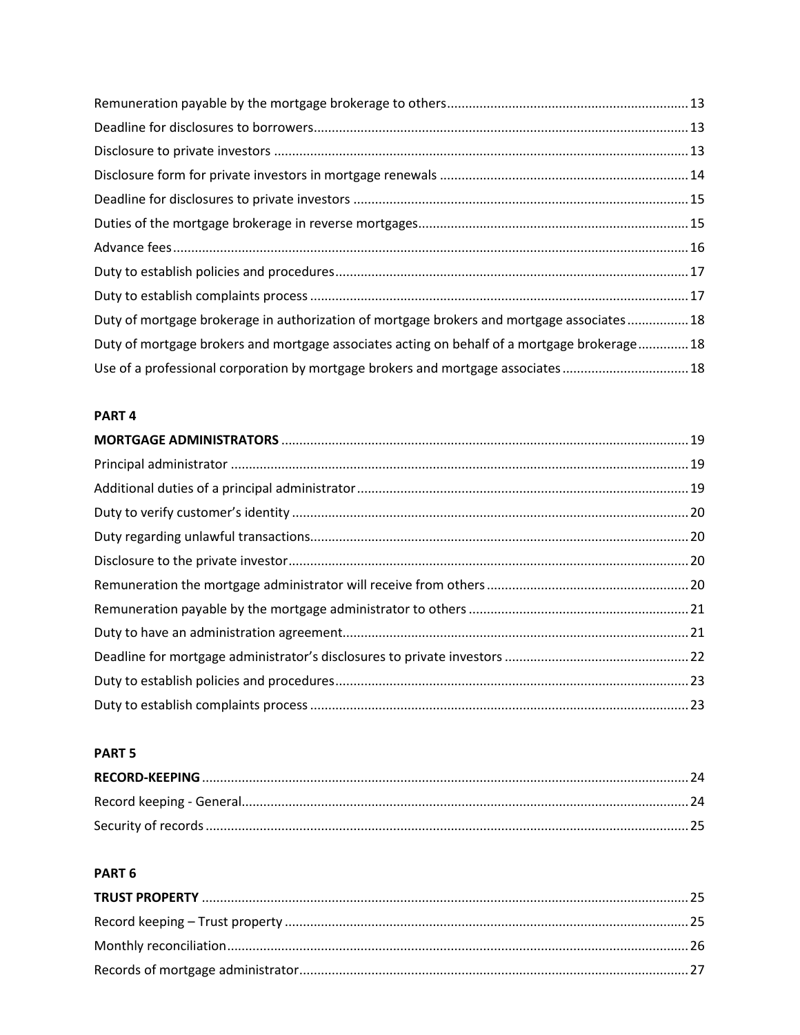| Duty of mortgage brokerage in authorization of mortgage brokers and mortgage associates18   |
|---------------------------------------------------------------------------------------------|
| Duty of mortgage brokers and mortgage associates acting on behalf of a mortgage brokerage18 |
| Use of a professional corporation by mortgage brokers and mortgage associates18             |

## PART<sub>4</sub>

## PART<sub>5</sub>

# PART<sub>6</sub>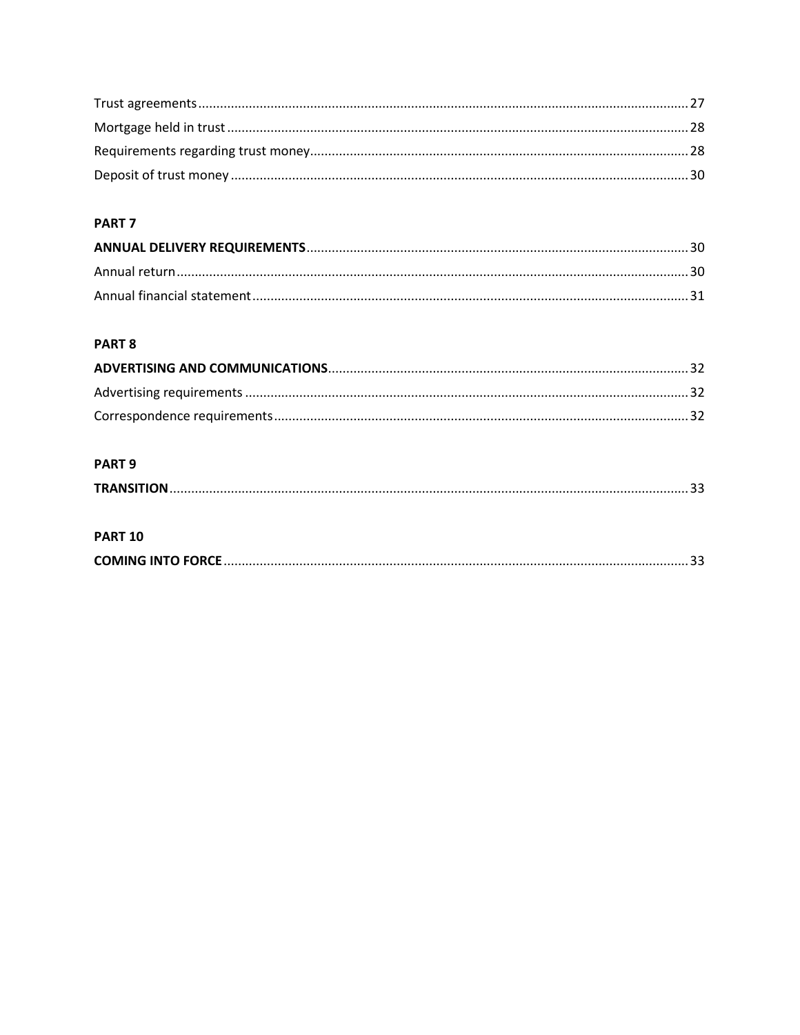## PART<sub>7</sub>

## PART 8

## PART<sub>9</sub>

## **PART 10**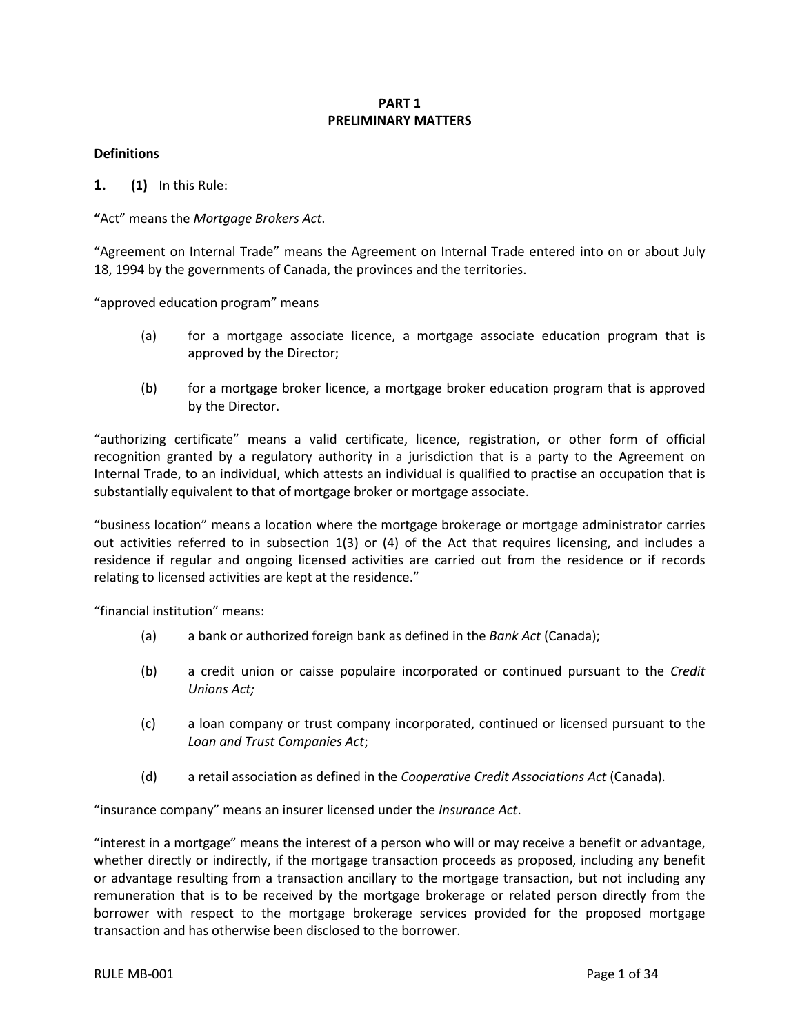## **PART 1 PRELIMINARY MATTERS**

## <span id="page-3-1"></span><span id="page-3-0"></span>**Definitions**

**1. (1)** In this Rule:

**"**Act" means the *Mortgage Brokers Act*.

"Agreement on Internal Trade" means the Agreement on Internal Trade entered into on or about July 18, 1994 by the governments of Canada, the provinces and the territories.

"approved education program" means

- (a) for a mortgage associate licence, a mortgage associate education program that is approved by the Director;
- (b) for a mortgage broker licence, a mortgage broker education program that is approved by the Director.

"authorizing certificate" means a valid certificate, licence, registration, or other form of official recognition granted by a regulatory authority in a jurisdiction that is a party to the Agreement on Internal Trade, to an individual, which attests an individual is qualified to practise an occupation that is substantially equivalent to that of mortgage broker or mortgage associate.

"business location" means a location where the mortgage brokerage or mortgage administrator carries out activities referred to in subsection 1(3) or (4) of the Act that requires licensing, and includes a residence if regular and ongoing licensed activities are carried out from the residence or if records relating to licensed activities are kept at the residence."

"financial institution" means:

- (a) a bank or authorized foreign bank as defined in the *Bank Act* (Canada);
- (b) a credit union or caisse populaire incorporated or continued pursuant to the *Credit Unions Act;*
- (c) a loan company or trust company incorporated, continued or licensed pursuant to the *Loan and Trust Companies Act*;
- (d) a retail association as defined in the *Cooperative Credit Associations Act* (Canada).

"insurance company" means an insurer licensed under the *Insurance Act*.

"interest in a mortgage" means the interest of a person who will or may receive a benefit or advantage, whether directly or indirectly, if the mortgage transaction proceeds as proposed, including any benefit or advantage resulting from a transaction ancillary to the mortgage transaction, but not including any remuneration that is to be received by the mortgage brokerage or related person directly from the borrower with respect to the mortgage brokerage services provided for the proposed mortgage transaction and has otherwise been disclosed to the borrower.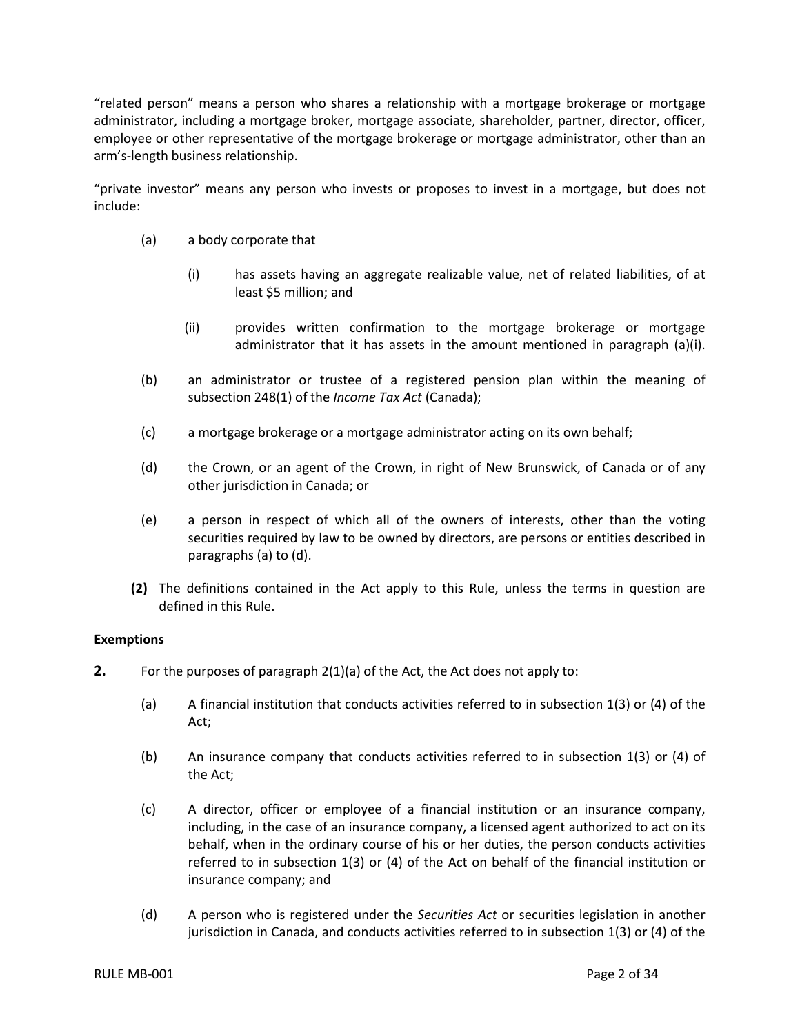"related person" means a person who shares a relationship with a mortgage brokerage or mortgage administrator, including a mortgage broker, mortgage associate, shareholder, partner, director, officer, employee or other representative of the mortgage brokerage or mortgage administrator, other than an arm's-length business relationship.

"private investor" means any person who invests or proposes to invest in a mortgage, but does not include:

- (a) a body corporate that
	- (i) has assets having an aggregate realizable value, net of related liabilities, of at least \$5 million; and
	- (ii) provides written confirmation to the mortgage brokerage or mortgage administrator that it has assets in the amount mentioned in paragraph (a)(i).
- (b) an administrator or trustee of a registered pension plan within the meaning of subsection 248(1) of the *Income Tax Act* (Canada);
- (c) a mortgage brokerage or a mortgage administrator acting on its own behalf;
- (d) the Crown, or an agent of the Crown, in right of New Brunswick, of Canada or of any other jurisdiction in Canada; or
- (e) a person in respect of which all of the owners of interests, other than the voting securities required by law to be owned by directors, are persons or entities described in paragraphs (a) to (d).
- **(2)** The definitions contained in the Act apply to this Rule, unless the terms in question are defined in this Rule.

#### <span id="page-4-0"></span>**Exemptions**

- **2.** For the purposes of paragraph 2(1)(a) of the Act, the Act does not apply to:
	- (a) A financial institution that conducts activities referred to in subsection 1(3) or (4) of the Act;
	- (b) An insurance company that conducts activities referred to in subsection 1(3) or (4) of the Act;
	- (c) A director, officer or employee of a financial institution or an insurance company, including, in the case of an insurance company, a licensed agent authorized to act on its behalf, when in the ordinary course of his or her duties, the person conducts activities referred to in subsection 1(3) or (4) of the Act on behalf of the financial institution or insurance company; and
	- (d) A person who is registered under the *Securities Act* or securities legislation in another jurisdiction in Canada, and conducts activities referred to in subsection 1(3) or (4) of the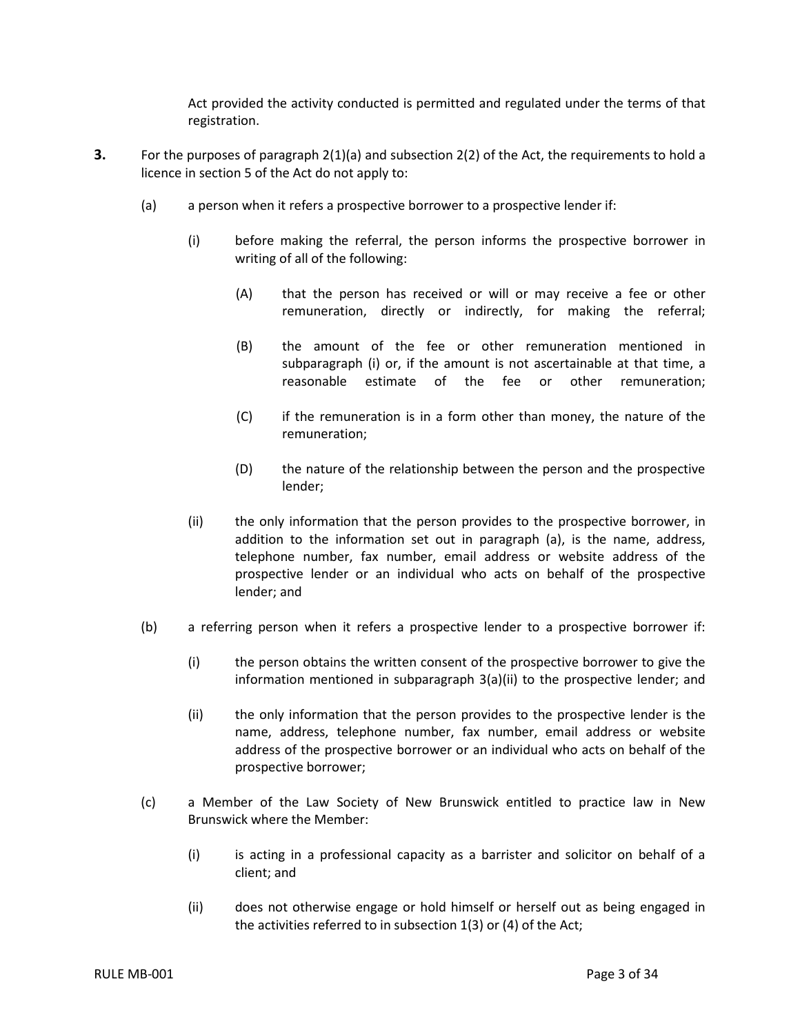Act provided the activity conducted is permitted and regulated under the terms of that registration.

- **3.** For the purposes of paragraph 2(1)(a) and subsection 2(2) of the Act, the requirements to hold a licence in section 5 of the Act do not apply to:
	- (a) a person when it refers a prospective borrower to a prospective lender if:
		- (i) before making the referral, the person informs the prospective borrower in writing of all of the following:
			- (A) that the person has received or will or may receive a fee or other remuneration, directly or indirectly, for making the referral;
			- (B) the amount of the fee or other remuneration mentioned in subparagraph (i) or, if the amount is not ascertainable at that time, a reasonable estimate of the fee or other remuneration;
			- (C) if the remuneration is in a form other than money, the nature of the remuneration;
			- (D) the nature of the relationship between the person and the prospective lender;
		- (ii) the only information that the person provides to the prospective borrower, in addition to the information set out in paragraph (a), is the name, address, telephone number, fax number, email address or website address of the prospective lender or an individual who acts on behalf of the prospective lender; and
	- (b) a referring person when it refers a prospective lender to a prospective borrower if:
		- (i) the person obtains the written consent of the prospective borrower to give the information mentioned in subparagraph 3(a)(ii) to the prospective lender; and
		- (ii) the only information that the person provides to the prospective lender is the name, address, telephone number, fax number, email address or website address of the prospective borrower or an individual who acts on behalf of the prospective borrower;
	- (c) a Member of the Law Society of New Brunswick entitled to practice law in New Brunswick where the Member:
		- (i) is acting in a professional capacity as a barrister and solicitor on behalf of a client; and
		- (ii) does not otherwise engage or hold himself or herself out as being engaged in the activities referred to in subsection 1(3) or (4) of the Act;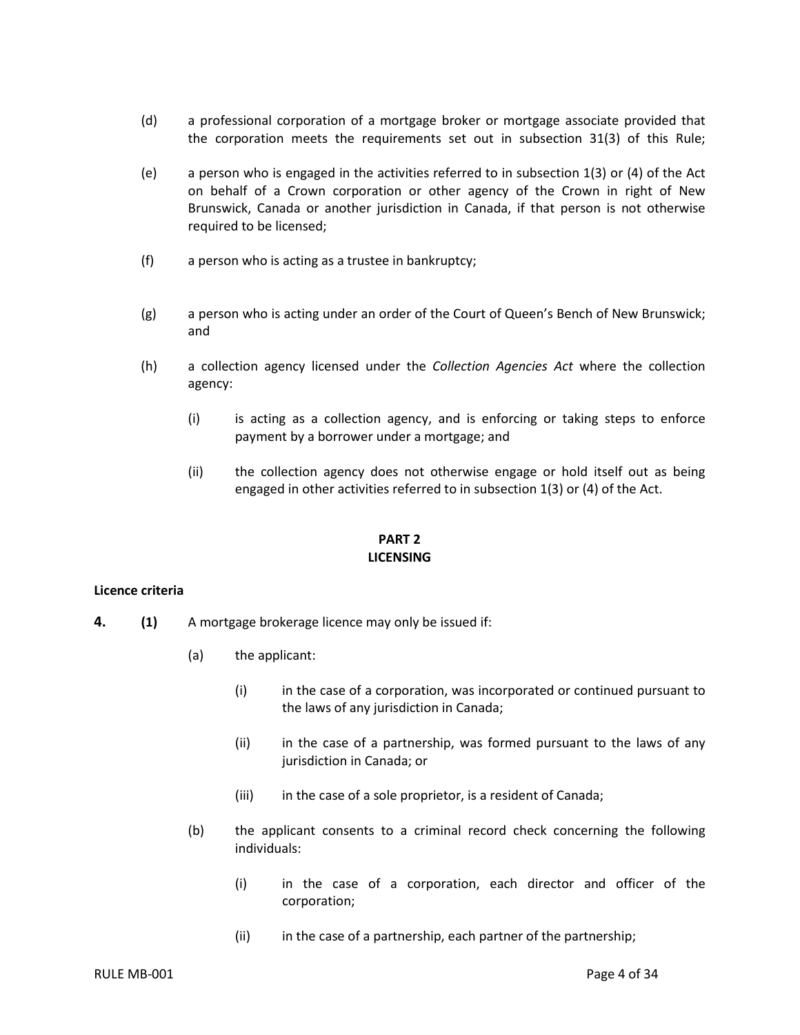- (d) a professional corporation of a mortgage broker or mortgage associate provided that the corporation meets the requirements set out in subsection 31(3) of this Rule;
- (e) a person who is engaged in the activities referred to in subsection 1(3) or (4) of the Act on behalf of a Crown corporation or other agency of the Crown in right of New Brunswick, Canada or another jurisdiction in Canada, if that person is not otherwise required to be licensed;
- (f) a person who is acting as a trustee in bankruptcy;
- (g) a person who is acting under an order of the Court of Queen's Bench of New Brunswick; and
- (h) a collection agency licensed under the *Collection Agencies Act* where the collection agency:
	- (i) is acting as a collection agency, and is enforcing or taking steps to enforce payment by a borrower under a mortgage; and
	- (ii) the collection agency does not otherwise engage or hold itself out as being engaged in other activities referred to in subsection 1(3) or (4) of the Act.

## **PART 2 LICENSING**

#### <span id="page-6-1"></span><span id="page-6-0"></span>**Licence criteria**

- **4. (1)** A mortgage brokerage licence may only be issued if:
	- (a) the applicant:
		- (i) in the case of a corporation, was incorporated or continued pursuant to the laws of any jurisdiction in Canada;
		- (ii) in the case of a partnership, was formed pursuant to the laws of any jurisdiction in Canada; or
		- (iii) in the case of a sole proprietor, is a resident of Canada;
	- (b) the applicant consents to a criminal record check concerning the following individuals:
		- (i) in the case of a corporation, each director and officer of the corporation;
		- (ii) in the case of a partnership, each partner of the partnership;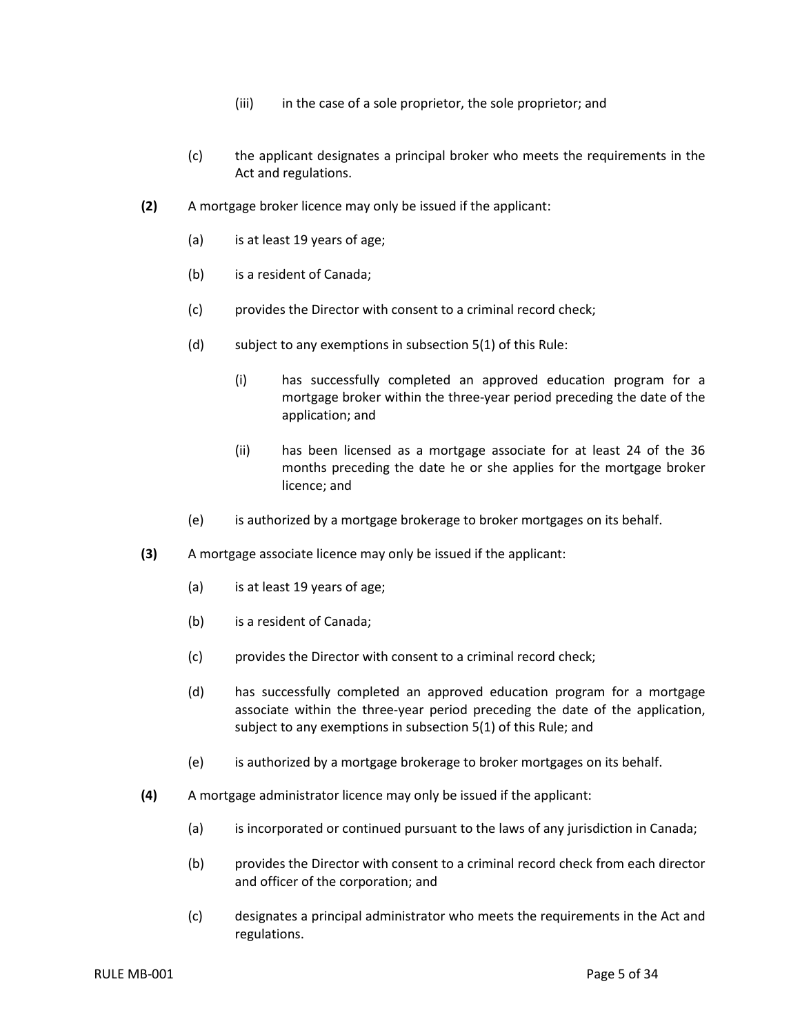- (iii) in the case of a sole proprietor, the sole proprietor; and
- (c) the applicant designates a principal broker who meets the requirements in the Act and regulations.
- **(2)** A mortgage broker licence may only be issued if the applicant:
	- (a) is at least 19 years of age;
	- (b) is a resident of Canada;
	- (c) provides the Director with consent to a criminal record check;
	- (d) subject to any exemptions in subsection 5(1) of this Rule:
		- (i) has successfully completed an approved education program for a mortgage broker within the three-year period preceding the date of the application; and
		- (ii) has been licensed as a mortgage associate for at least 24 of the 36 months preceding the date he or she applies for the mortgage broker licence; and
	- (e) is authorized by a mortgage brokerage to broker mortgages on its behalf.
- **(3)** A mortgage associate licence may only be issued if the applicant:
	- (a) is at least 19 years of age;
	- (b) is a resident of Canada;
	- (c) provides the Director with consent to a criminal record check;
	- (d) has successfully completed an approved education program for a mortgage associate within the three-year period preceding the date of the application, subject to any exemptions in subsection 5(1) of this Rule; and
	- (e) is authorized by a mortgage brokerage to broker mortgages on its behalf.
- **(4)** A mortgage administrator licence may only be issued if the applicant:
	- (a) is incorporated or continued pursuant to the laws of any jurisdiction in Canada;
	- (b) provides the Director with consent to a criminal record check from each director and officer of the corporation; and
	- (c) designates a principal administrator who meets the requirements in the Act and regulations.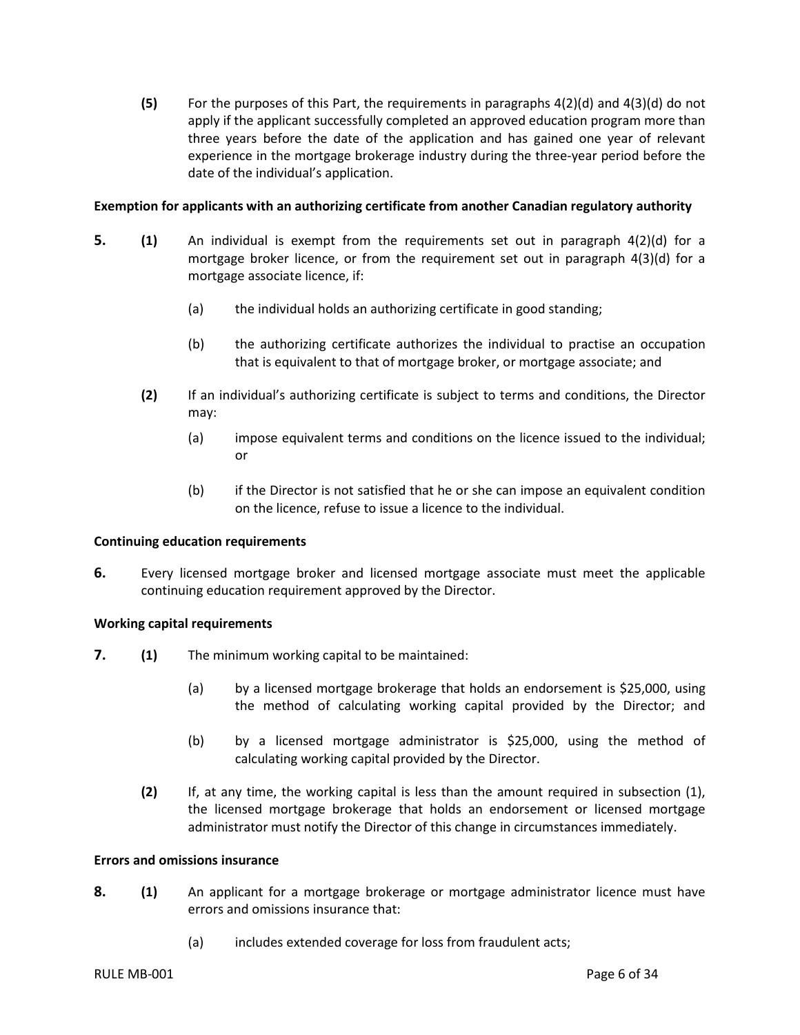**(5)** For the purposes of this Part, the requirements in paragraphs 4(2)(d) and 4(3)(d) do not apply if the applicant successfully completed an approved education program more than three years before the date of the application and has gained one year of relevant experience in the mortgage brokerage industry during the three-year period before the date of the individual's application.

## <span id="page-8-0"></span>**Exemption for applicants with an authorizing certificate from another Canadian regulatory authority**

- **5. (1)** An individual is exempt from the requirements set out in paragraph 4(2)(d) for a mortgage broker licence, or from the requirement set out in paragraph 4(3)(d) for a mortgage associate licence, if:
	- (a) the individual holds an authorizing certificate in good standing;
	- (b) the authorizing certificate authorizes the individual to practise an occupation that is equivalent to that of mortgage broker, or mortgage associate; and
	- **(2)** If an individual's authorizing certificate is subject to terms and conditions, the Director may:
		- (a) impose equivalent terms and conditions on the licence issued to the individual; or
		- (b) if the Director is not satisfied that he or she can impose an equivalent condition on the licence, refuse to issue a licence to the individual.

#### <span id="page-8-1"></span>**Continuing education requirements**

**6.** Every licensed mortgage broker and licensed mortgage associate must meet the applicable continuing education requirement approved by the Director.

## <span id="page-8-2"></span>**Working capital requirements**

- **7. (1)** The minimum working capital to be maintained:
	- (a) by a licensed mortgage brokerage that holds an endorsement is \$25,000, using the method of calculating working capital provided by the Director; and
	- (b) by a licensed mortgage administrator is \$25,000, using the method of calculating working capital provided by the Director.
	- **(2)** If, at any time, the working capital is less than the amount required in subsection (1), the licensed mortgage brokerage that holds an endorsement or licensed mortgage administrator must notify the Director of this change in circumstances immediately.

#### <span id="page-8-3"></span>**Errors and omissions insurance**

- **8. (1)** An applicant for a mortgage brokerage or mortgage administrator licence must have errors and omissions insurance that:
	- (a) includes extended coverage for loss from fraudulent acts;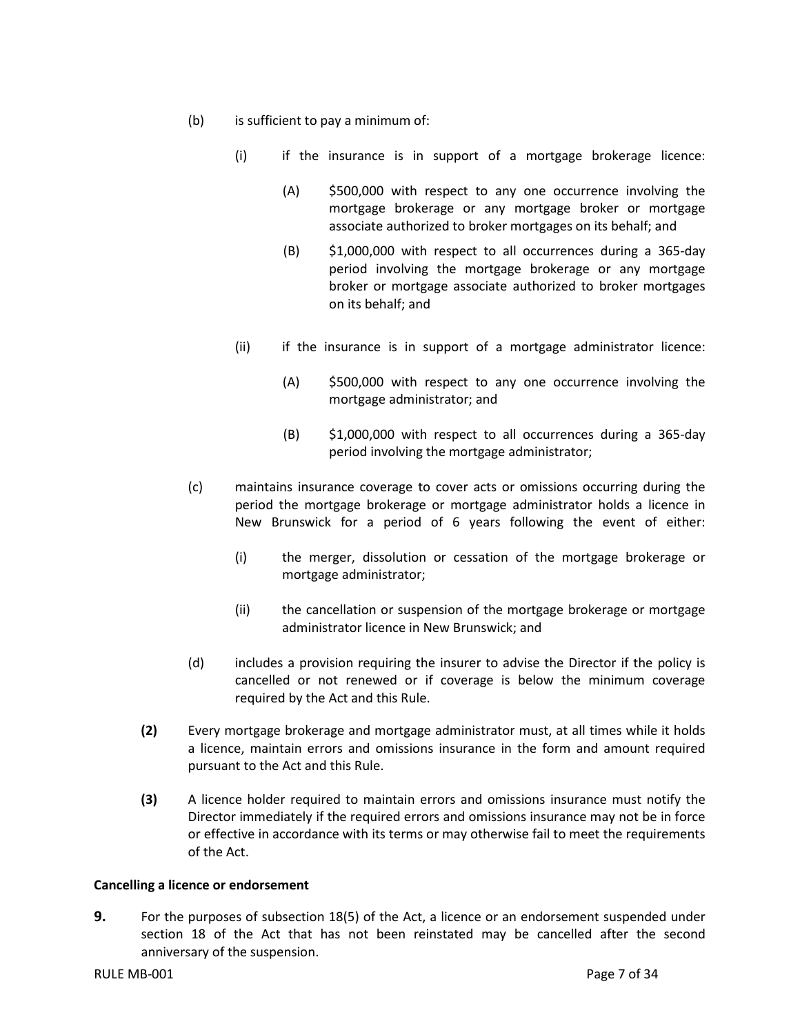- (b) is sufficient to pay a minimum of:
	- (i) if the insurance is in support of a mortgage brokerage licence:
		- (A) \$500,000 with respect to any one occurrence involving the mortgage brokerage or any mortgage broker or mortgage associate authorized to broker mortgages on its behalf; and
		- (B) \$1,000,000 with respect to all occurrences during a 365-day period involving the mortgage brokerage or any mortgage broker or mortgage associate authorized to broker mortgages on its behalf; and
	- (ii) if the insurance is in support of a mortgage administrator licence:
		- (A) \$500,000 with respect to any one occurrence involving the mortgage administrator; and
		- (B) \$1,000,000 with respect to all occurrences during a 365-day period involving the mortgage administrator;
- (c) maintains insurance coverage to cover acts or omissions occurring during the period the mortgage brokerage or mortgage administrator holds a licence in New Brunswick for a period of 6 years following the event of either:
	- (i) the merger, dissolution or cessation of the mortgage brokerage or mortgage administrator;
	- (ii) the cancellation or suspension of the mortgage brokerage or mortgage administrator licence in New Brunswick; and
- (d) includes a provision requiring the insurer to advise the Director if the policy is cancelled or not renewed or if coverage is below the minimum coverage required by the Act and this Rule.
- **(2)** Every mortgage brokerage and mortgage administrator must, at all times while it holds a licence, maintain errors and omissions insurance in the form and amount required pursuant to the Act and this Rule.
- **(3)** A licence holder required to maintain errors and omissions insurance must notify the Director immediately if the required errors and omissions insurance may not be in force or effective in accordance with its terms or may otherwise fail to meet the requirements of the Act.

## <span id="page-9-0"></span>**Cancelling a licence or endorsement**

**9.** For the purposes of subsection 18(5) of the Act, a licence or an endorsement suspended under section 18 of the Act that has not been reinstated may be cancelled after the second anniversary of the suspension.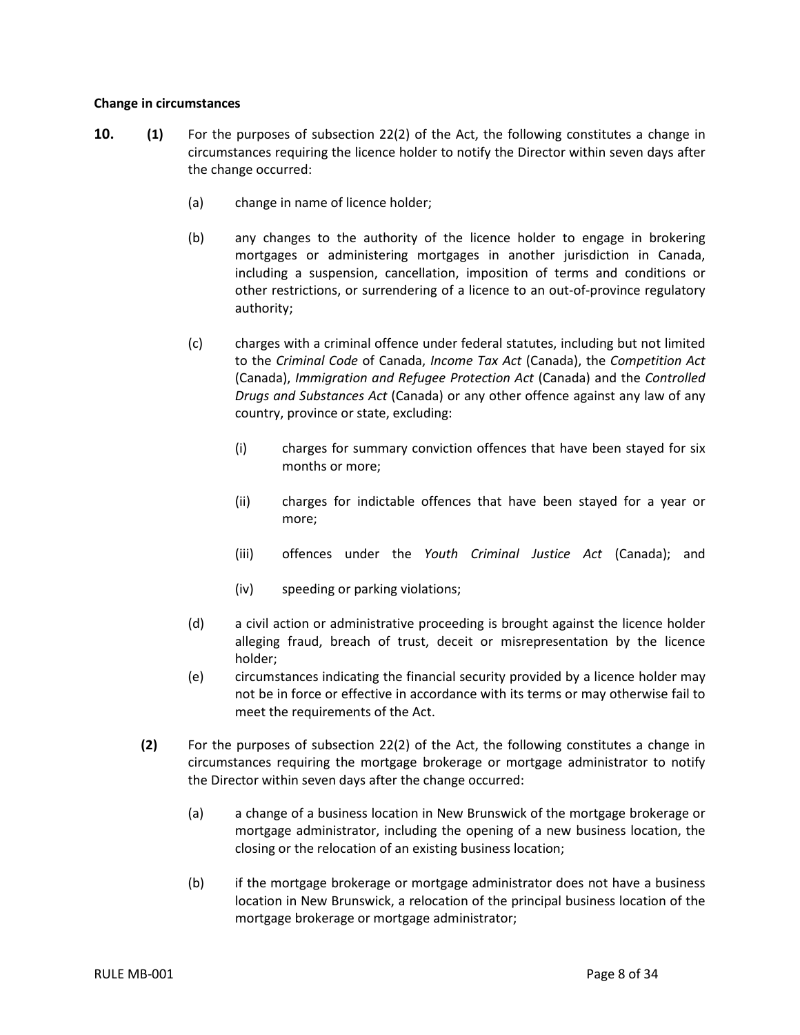## <span id="page-10-0"></span>**Change in circumstances**

- **10. (1)** For the purposes of subsection 22(2) of the Act, the following constitutes a change in circumstances requiring the licence holder to notify the Director within seven days after the change occurred:
	- (a) change in name of licence holder;
	- (b) any changes to the authority of the licence holder to engage in brokering mortgages or administering mortgages in another jurisdiction in Canada, including a suspension, cancellation, imposition of terms and conditions or other restrictions, or surrendering of a licence to an out-of-province regulatory authority;
	- (c) charges with a criminal offence under federal statutes, including but not limited to the *Criminal Code* of Canada, *Income Tax Act* (Canada), the *Competition Act*  (Canada), *Immigration and Refugee Protection Act* (Canada) and the *Controlled Drugs and Substances Act* (Canada) or any other offence against any law of any country, province or state, excluding:
		- (i) charges for summary conviction offences that have been stayed for six months or more;
		- (ii) charges for indictable offences that have been stayed for a year or more;
		- (iii) offences under the *Youth Criminal Justice Act* (Canada); and
		- (iv) speeding or parking violations;
	- (d) a civil action or administrative proceeding is brought against the licence holder alleging fraud, breach of trust, deceit or misrepresentation by the licence holder;
	- (e) circumstances indicating the financial security provided by a licence holder may not be in force or effective in accordance with its terms or may otherwise fail to meet the requirements of the Act.
	- **(2)** For the purposes of subsection 22(2) of the Act, the following constitutes a change in circumstances requiring the mortgage brokerage or mortgage administrator to notify the Director within seven days after the change occurred:
		- (a) a change of a business location in New Brunswick of the mortgage brokerage or mortgage administrator, including the opening of a new business location, the closing or the relocation of an existing business location;
		- (b) if the mortgage brokerage or mortgage administrator does not have a business location in New Brunswick, a relocation of the principal business location of the mortgage brokerage or mortgage administrator;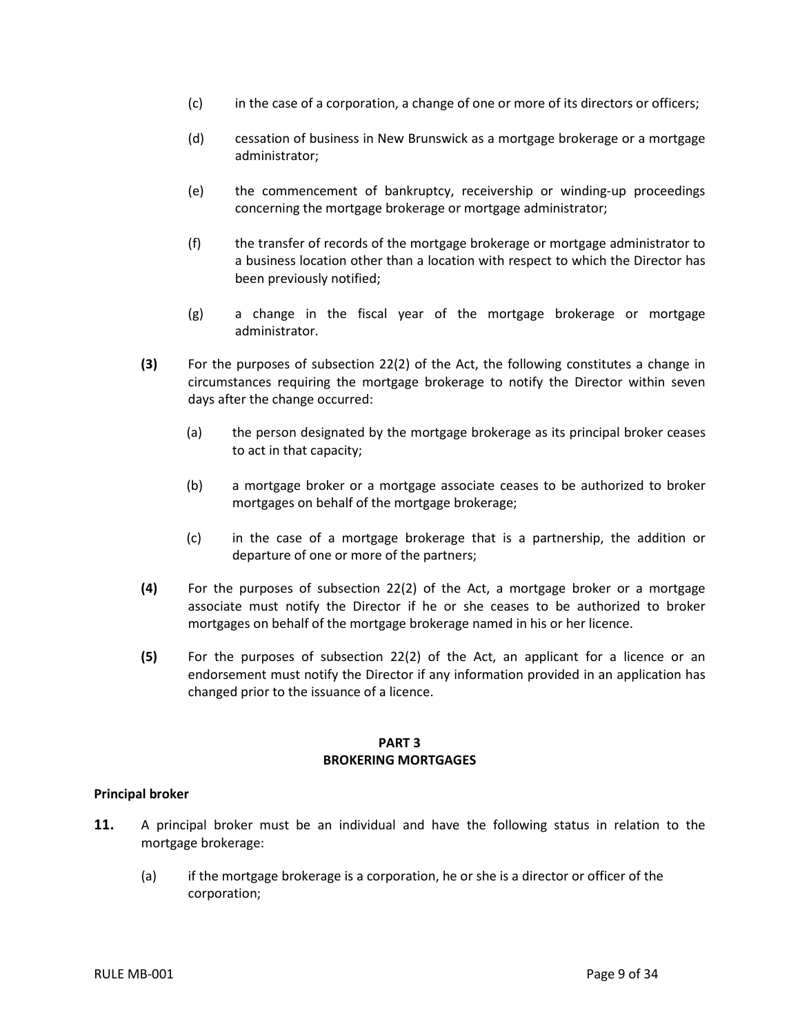- (c) in the case of a corporation, a change of one or more of its directors or officers;
- (d) cessation of business in New Brunswick as a mortgage brokerage or a mortgage administrator;
- (e) the commencement of bankruptcy, receivership or winding-up proceedings concerning the mortgage brokerage or mortgage administrator;
- (f) the transfer of records of the mortgage brokerage or mortgage administrator to a business location other than a location with respect to which the Director has been previously notified;
- (g) a change in the fiscal year of the mortgage brokerage or mortgage administrator.
- **(3)** For the purposes of subsection 22(2) of the Act, the following constitutes a change in circumstances requiring the mortgage brokerage to notify the Director within seven days after the change occurred:
	- (a) the person designated by the mortgage brokerage as its principal broker ceases to act in that capacity;
	- (b) a mortgage broker or a mortgage associate ceases to be authorized to broker mortgages on behalf of the mortgage brokerage;
	- (c) in the case of a mortgage brokerage that is a partnership, the addition or departure of one or more of the partners;
- **(4)** For the purposes of subsection 22(2) of the Act, a mortgage broker or a mortgage associate must notify the Director if he or she ceases to be authorized to broker mortgages on behalf of the mortgage brokerage named in his or her licence.
- **(5)** For the purposes of subsection 22(2) of the Act, an applicant for a licence or an endorsement must notify the Director if any information provided in an application has changed prior to the issuance of a licence.

#### **PART 3 BROKERING MORTGAGES**

## <span id="page-11-1"></span><span id="page-11-0"></span>**Principal broker**

- **11.** A principal broker must be an individual and have the following status in relation to the mortgage brokerage:
	- (a) if the mortgage brokerage is a corporation, he or she is a director or officer of the corporation;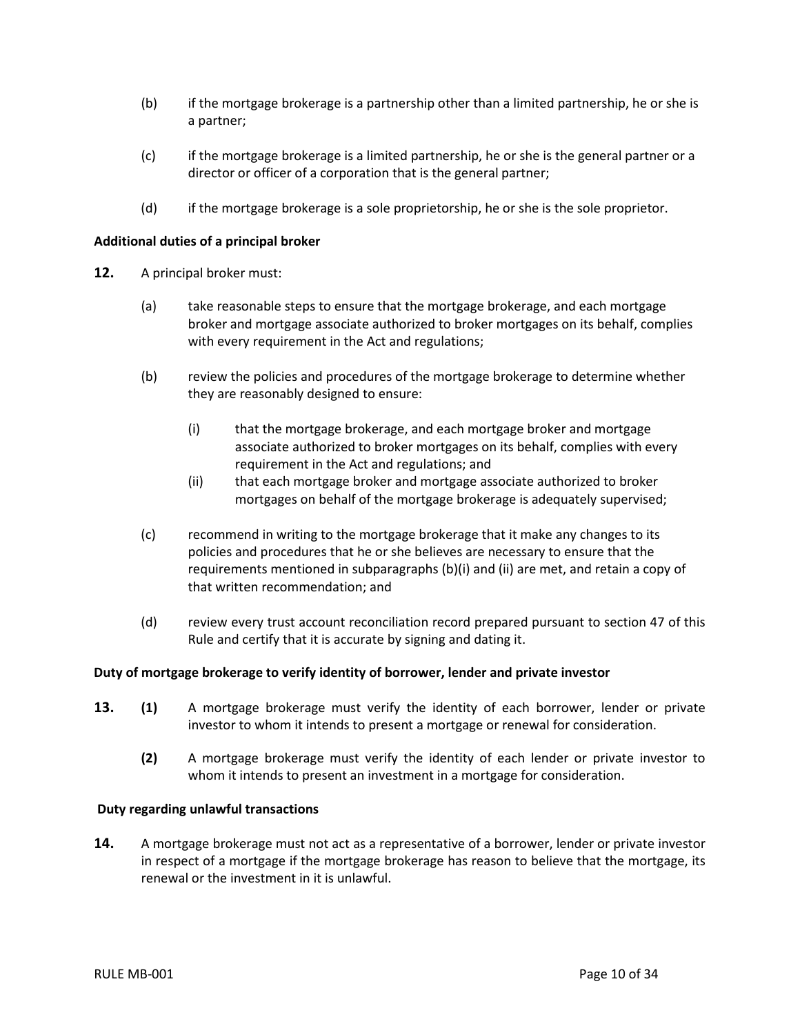- (b) if the mortgage brokerage is a partnership other than a limited partnership, he or she is a partner;
- (c) if the mortgage brokerage is a limited partnership, he or she is the general partner or a director or officer of a corporation that is the general partner;
- (d) if the mortgage brokerage is a sole proprietorship, he or she is the sole proprietor.

## <span id="page-12-0"></span>**Additional duties of a principal broker**

- **12.** A principal broker must:
	- (a) take reasonable steps to ensure that the mortgage brokerage, and each mortgage broker and mortgage associate authorized to broker mortgages on its behalf, complies with every requirement in the Act and regulations;
	- (b) review the policies and procedures of the mortgage brokerage to determine whether they are reasonably designed to ensure:
		- (i) that the mortgage brokerage, and each mortgage broker and mortgage associate authorized to broker mortgages on its behalf, complies with every requirement in the Act and regulations; and
		- (ii) that each mortgage broker and mortgage associate authorized to broker mortgages on behalf of the mortgage brokerage is adequately supervised;
	- (c) recommend in writing to the mortgage brokerage that it make any changes to its policies and procedures that he or she believes are necessary to ensure that the requirements mentioned in subparagraphs (b)(i) and (ii) are met, and retain a copy of that written recommendation; and
	- (d) review every trust account reconciliation record prepared pursuant to section 47 of this Rule and certify that it is accurate by signing and dating it.

## <span id="page-12-1"></span>**Duty of mortgage brokerage to verify identity of borrower, lender and private investor**

- **13. (1)** A mortgage brokerage must verify the identity of each borrower, lender or private investor to whom it intends to present a mortgage or renewal for consideration.
	- **(2)** A mortgage brokerage must verify the identity of each lender or private investor to whom it intends to present an investment in a mortgage for consideration.

#### <span id="page-12-2"></span>**Duty regarding unlawful transactions**

<span id="page-12-3"></span>**14.** A mortgage brokerage must not act as a representative of a borrower, lender or private investor in respect of a mortgage if the mortgage brokerage has reason to believe that the mortgage, its renewal or the investment in it is unlawful.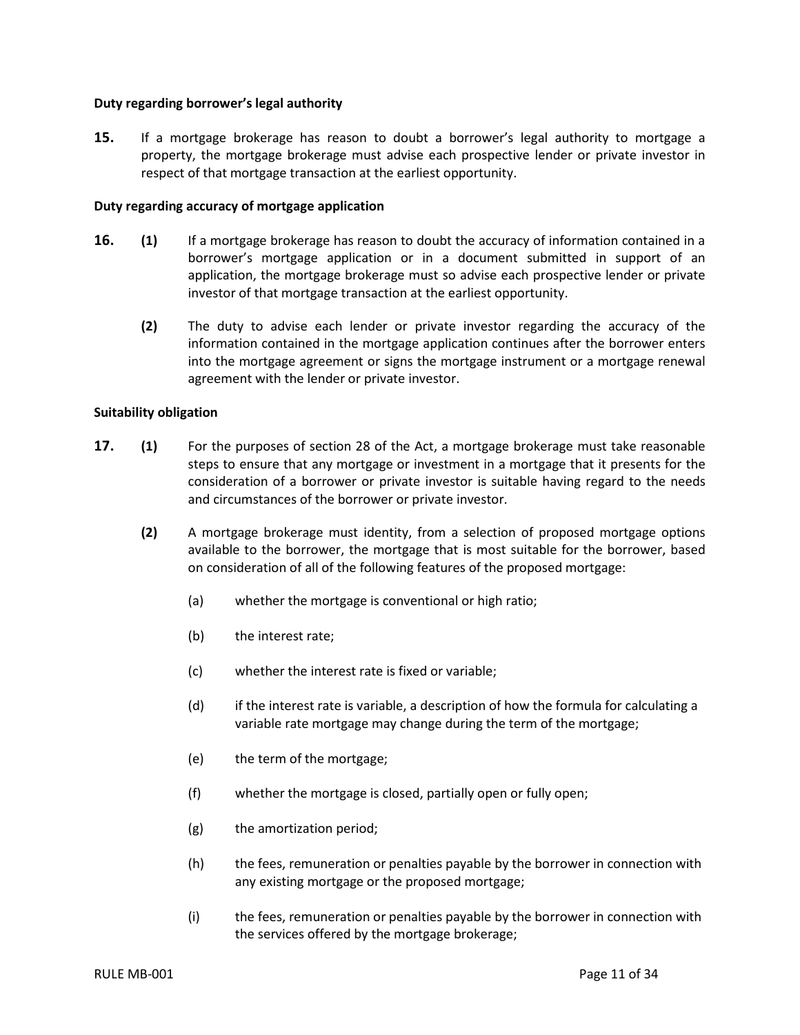## **Duty regarding borrower's legal authority**

**15.** If a mortgage brokerage has reason to doubt a borrower's legal authority to mortgage a property, the mortgage brokerage must advise each prospective lender or private investor in respect of that mortgage transaction at the earliest opportunity.

## <span id="page-13-0"></span>**Duty regarding accuracy of mortgage application**

- **16. (1)** If a mortgage brokerage has reason to doubt the accuracy of information contained in a borrower's mortgage application or in a document submitted in support of an application, the mortgage brokerage must so advise each prospective lender or private investor of that mortgage transaction at the earliest opportunity.
	- **(2)** The duty to advise each lender or private investor regarding the accuracy of the information contained in the mortgage application continues after the borrower enters into the mortgage agreement or signs the mortgage instrument or a mortgage renewal agreement with the lender or private investor.

## <span id="page-13-1"></span>**Suitability obligation**

- **17. (1)** For the purposes of section 28 of the Act, a mortgage brokerage must take reasonable steps to ensure that any mortgage or investment in a mortgage that it presents for the consideration of a borrower or private investor is suitable having regard to the needs and circumstances of the borrower or private investor.
	- **(2)** A mortgage brokerage must identity, from a selection of proposed mortgage options available to the borrower, the mortgage that is most suitable for the borrower, based on consideration of all of the following features of the proposed mortgage:
		- (a) whether the mortgage is conventional or high ratio;
		- (b) the interest rate;
		- (c) whether the interest rate is fixed or variable;
		- (d) if the interest rate is variable, a description of how the formula for calculating a variable rate mortgage may change during the term of the mortgage;
		- (e) the term of the mortgage;
		- (f) whether the mortgage is closed, partially open or fully open;
		- (g) the amortization period;
		- (h) the fees, remuneration or penalties payable by the borrower in connection with any existing mortgage or the proposed mortgage;
		- (i) the fees, remuneration or penalties payable by the borrower in connection with the services offered by the mortgage brokerage;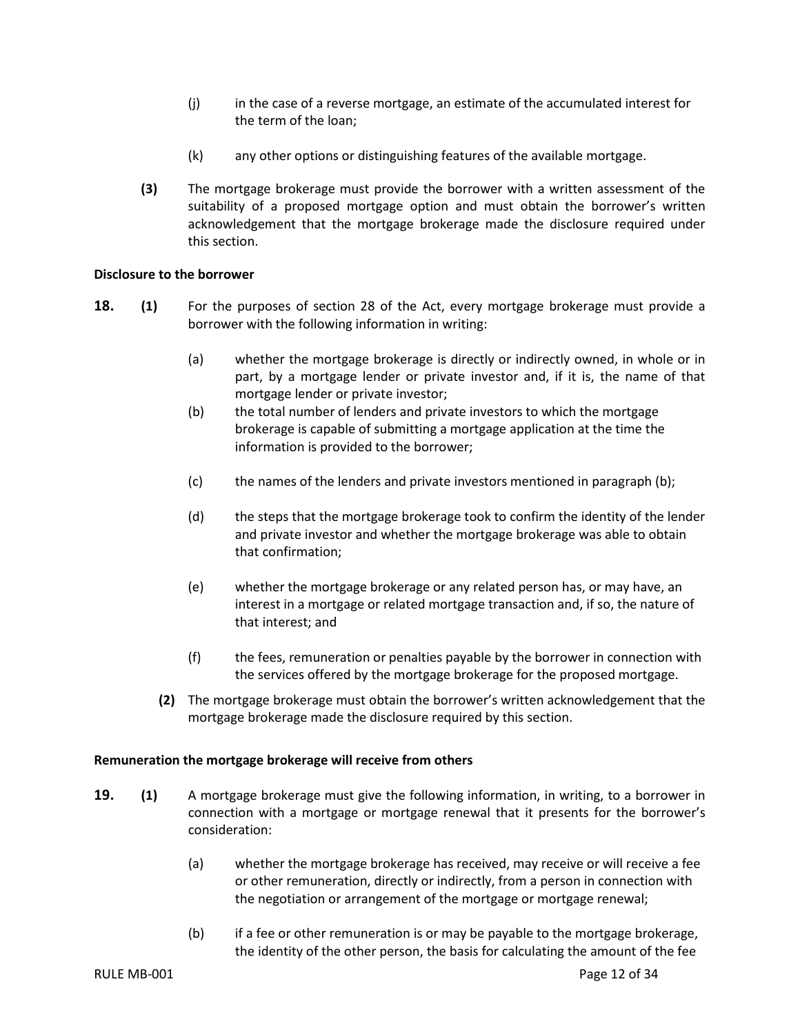- (j) in the case of a reverse mortgage, an estimate of the accumulated interest for the term of the loan;
- (k) any other options or distinguishing features of the available mortgage.
- **(3)** The mortgage brokerage must provide the borrower with a written assessment of the suitability of a proposed mortgage option and must obtain the borrower's written acknowledgement that the mortgage brokerage made the disclosure required under this section.

## <span id="page-14-0"></span>**Disclosure to the borrower**

- **18. (1)** For the purposes of section 28 of the Act, every mortgage brokerage must provide a borrower with the following information in writing:
	- (a) whether the mortgage brokerage is directly or indirectly owned, in whole or in part, by a mortgage lender or private investor and, if it is, the name of that mortgage lender or private investor;
	- (b) the total number of lenders and private investors to which the mortgage brokerage is capable of submitting a mortgage application at the time the information is provided to the borrower;
	- (c) the names of the lenders and private investors mentioned in paragraph (b);
	- (d) the steps that the mortgage brokerage took to confirm the identity of the lender and private investor and whether the mortgage brokerage was able to obtain that confirmation;
	- (e) whether the mortgage brokerage or any related person has, or may have, an interest in a mortgage or related mortgage transaction and, if so, the nature of that interest; and
	- (f) the fees, remuneration or penalties payable by the borrower in connection with the services offered by the mortgage brokerage for the proposed mortgage.
	- **(2)** The mortgage brokerage must obtain the borrower's written acknowledgement that the mortgage brokerage made the disclosure required by this section.

#### <span id="page-14-1"></span>**Remuneration the mortgage brokerage will receive from others**

- **19. (1)** A mortgage brokerage must give the following information, in writing, to a borrower in connection with a mortgage or mortgage renewal that it presents for the borrower's consideration:
	- (a) whether the mortgage brokerage has received, may receive or will receive a fee or other remuneration, directly or indirectly, from a person in connection with the negotiation or arrangement of the mortgage or mortgage renewal;
	- (b) if a fee or other remuneration is or may be payable to the mortgage brokerage, the identity of the other person, the basis for calculating the amount of the fee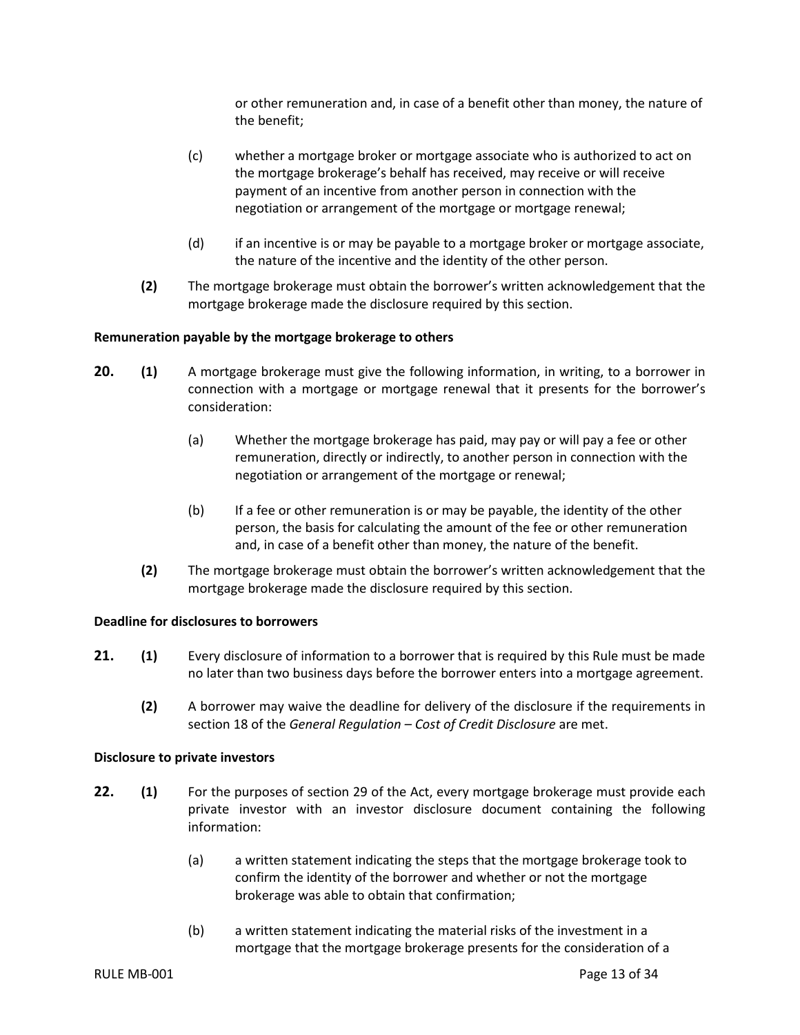or other remuneration and, in case of a benefit other than money, the nature of the benefit;

- (c) whether a mortgage broker or mortgage associate who is authorized to act on the mortgage brokerage's behalf has received, may receive or will receive payment of an incentive from another person in connection with the negotiation or arrangement of the mortgage or mortgage renewal;
- (d) if an incentive is or may be payable to a mortgage broker or mortgage associate, the nature of the incentive and the identity of the other person.
- **(2)** The mortgage brokerage must obtain the borrower's written acknowledgement that the mortgage brokerage made the disclosure required by this section.

## <span id="page-15-0"></span>**Remuneration payable by the mortgage brokerage to others**

- **20. (1)** A mortgage brokerage must give the following information, in writing, to a borrower in connection with a mortgage or mortgage renewal that it presents for the borrower's consideration:
	- (a) Whether the mortgage brokerage has paid, may pay or will pay a fee or other remuneration, directly or indirectly, to another person in connection with the negotiation or arrangement of the mortgage or renewal;
	- (b) If a fee or other remuneration is or may be payable, the identity of the other person, the basis for calculating the amount of the fee or other remuneration and, in case of a benefit other than money, the nature of the benefit.
	- **(2)** The mortgage brokerage must obtain the borrower's written acknowledgement that the mortgage brokerage made the disclosure required by this section.

#### <span id="page-15-1"></span>**Deadline for disclosures to borrowers**

- **21. (1)** Every disclosure of information to a borrower that is required by this Rule must be made no later than two business days before the borrower enters into a mortgage agreement.
	- **(2)** A borrower may waive the deadline for delivery of the disclosure if the requirements in section 18 of the *General Regulation – Cost of Credit Disclosure* are met.

#### <span id="page-15-2"></span>**Disclosure to private investors**

- **22. (1)** For the purposes of section 29 of the Act, every mortgage brokerage must provide each private investor with an investor disclosure document containing the following information:
	- (a) a written statement indicating the steps that the mortgage brokerage took to confirm the identity of the borrower and whether or not the mortgage brokerage was able to obtain that confirmation;
	- (b) a written statement indicating the material risks of the investment in a mortgage that the mortgage brokerage presents for the consideration of a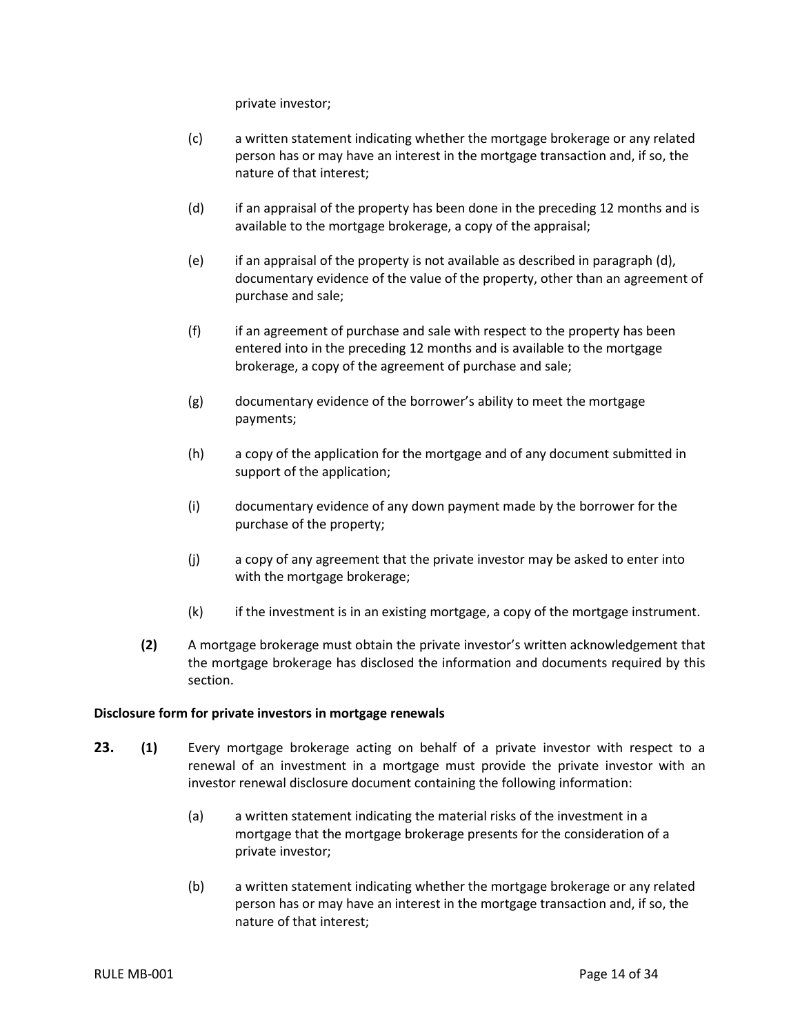private investor;

- (c) a written statement indicating whether the mortgage brokerage or any related person has or may have an interest in the mortgage transaction and, if so, the nature of that interest;
- (d) if an appraisal of the property has been done in the preceding 12 months and is available to the mortgage brokerage, a copy of the appraisal;
- (e) if an appraisal of the property is not available as described in paragraph (d), documentary evidence of the value of the property, other than an agreement of purchase and sale;
- (f) if an agreement of purchase and sale with respect to the property has been entered into in the preceding 12 months and is available to the mortgage brokerage, a copy of the agreement of purchase and sale;
- (g) documentary evidence of the borrower's ability to meet the mortgage payments;
- (h) a copy of the application for the mortgage and of any document submitted in support of the application;
- (i) documentary evidence of any down payment made by the borrower for the purchase of the property;
- (j) a copy of any agreement that the private investor may be asked to enter into with the mortgage brokerage;
- (k) if the investment is in an existing mortgage, a copy of the mortgage instrument.
- **(2)** A mortgage brokerage must obtain the private investor's written acknowledgement that the mortgage brokerage has disclosed the information and documents required by this section.

## <span id="page-16-0"></span>**Disclosure form for private investors in mortgage renewals**

- **23. (1)** Every mortgage brokerage acting on behalf of a private investor with respect to a renewal of an investment in a mortgage must provide the private investor with an investor renewal disclosure document containing the following information:
	- (a) a written statement indicating the material risks of the investment in a mortgage that the mortgage brokerage presents for the consideration of a private investor;
	- (b) a written statement indicating whether the mortgage brokerage or any related person has or may have an interest in the mortgage transaction and, if so, the nature of that interest;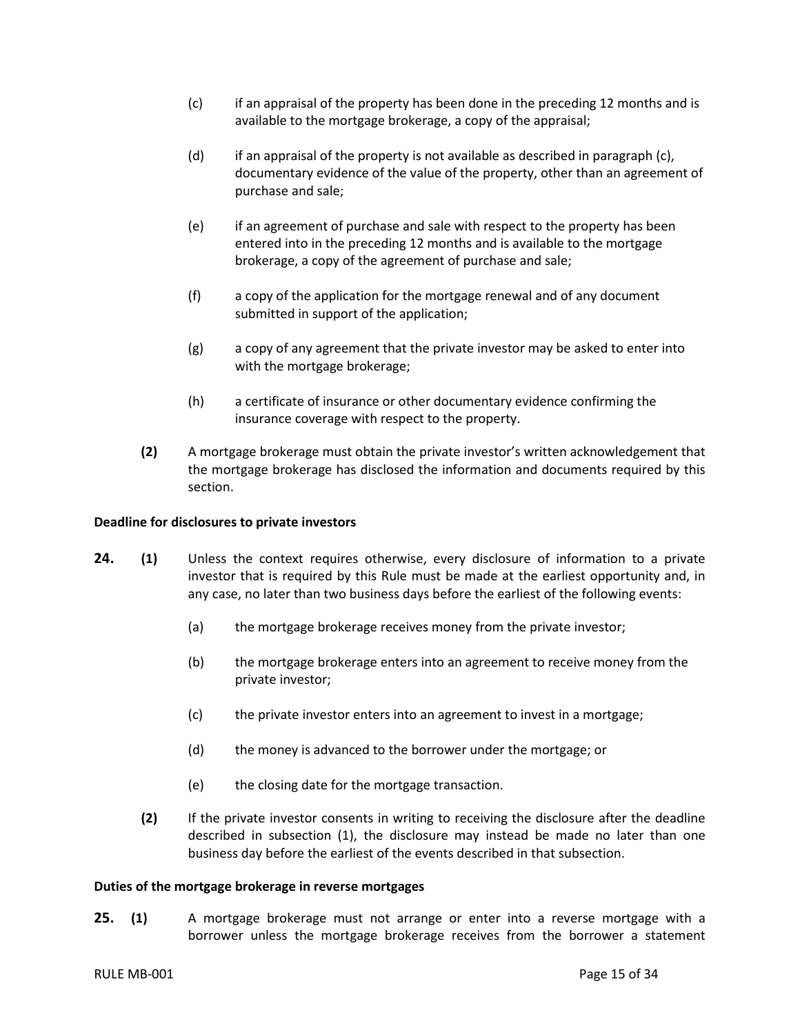- (c) if an appraisal of the property has been done in the preceding 12 months and is available to the mortgage brokerage, a copy of the appraisal;
- (d) if an appraisal of the property is not available as described in paragraph (c), documentary evidence of the value of the property, other than an agreement of purchase and sale;
- (e) if an agreement of purchase and sale with respect to the property has been entered into in the preceding 12 months and is available to the mortgage brokerage, a copy of the agreement of purchase and sale;
- (f) a copy of the application for the mortgage renewal and of any document submitted in support of the application;
- (g) a copy of any agreement that the private investor may be asked to enter into with the mortgage brokerage;
- <span id="page-17-0"></span>(h) a certificate of insurance or other documentary evidence confirming the insurance coverage with respect to the property.
- **(2)** A mortgage brokerage must obtain the private investor's written acknowledgement that the mortgage brokerage has disclosed the information and documents required by this section.

#### **Deadline for disclosures to private investors**

- **24. (1)** Unless the context requires otherwise, every disclosure of information to a private investor that is required by this Rule must be made at the earliest opportunity and, in any case, no later than two business days before the earliest of the following events:
	- (a) the mortgage brokerage receives money from the private investor;
	- (b) the mortgage brokerage enters into an agreement to receive money from the private investor;
	- (c) the private investor enters into an agreement to invest in a mortgage;
	- (d) the money is advanced to the borrower under the mortgage; or
	- (e) the closing date for the mortgage transaction.
	- **(2)** If the private investor consents in writing to receiving the disclosure after the deadline described in subsection (1), the disclosure may instead be made no later than one business day before the earliest of the events described in that subsection.

#### <span id="page-17-1"></span>**Duties of the mortgage brokerage in reverse mortgages**

**25. (1)** A mortgage brokerage must not arrange or enter into a reverse mortgage with a borrower unless the mortgage brokerage receives from the borrower a statement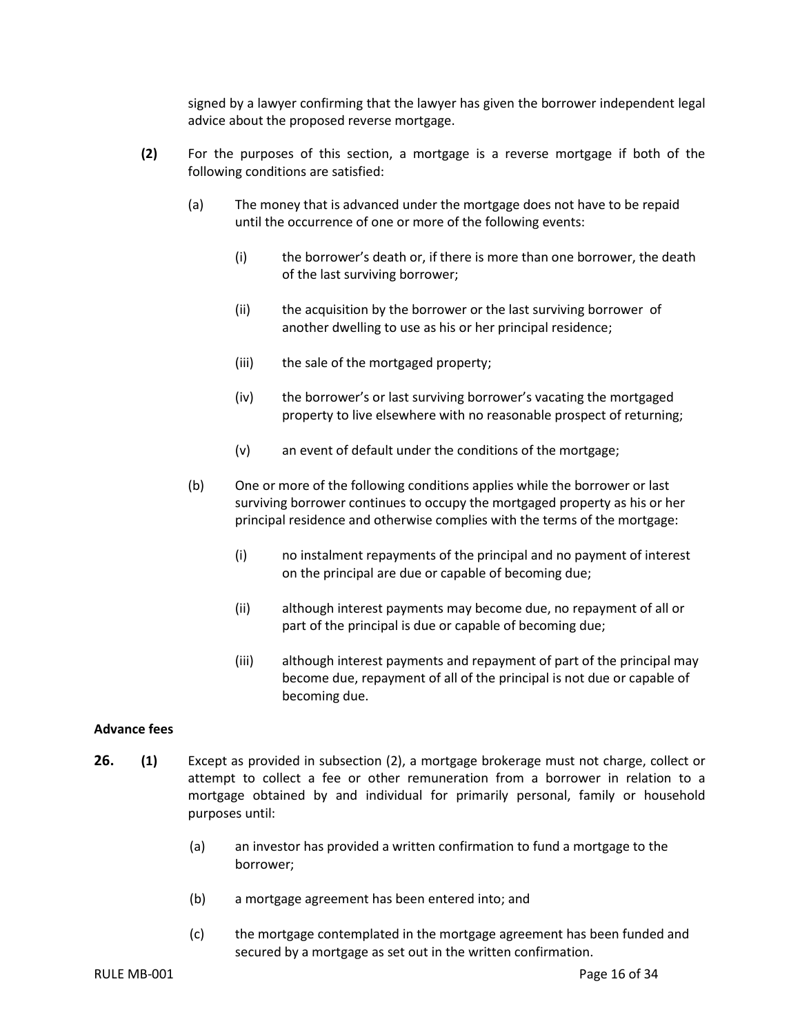signed by a lawyer confirming that the lawyer has given the borrower independent legal advice about the proposed reverse mortgage.

- **(2)** For the purposes of this section, a mortgage is a reverse mortgage if both of the following conditions are satisfied:
	- (a) The money that is advanced under the mortgage does not have to be repaid until the occurrence of one or more of the following events:
		- (i) the borrower's death or, if there is more than one borrower, the death of the last surviving borrower;
		- (ii) the acquisition by the borrower or the last surviving borrower of another dwelling to use as his or her principal residence;
		- (iii) the sale of the mortgaged property;
		- (iv) the borrower's or last surviving borrower's vacating the mortgaged property to live elsewhere with no reasonable prospect of returning;
		- (v) an event of default under the conditions of the mortgage;
	- (b) One or more of the following conditions applies while the borrower or last surviving borrower continues to occupy the mortgaged property as his or her principal residence and otherwise complies with the terms of the mortgage:
		- (i) no instalment repayments of the principal and no payment of interest on the principal are due or capable of becoming due;
		- (ii) although interest payments may become due, no repayment of all or part of the principal is due or capable of becoming due;
		- (iii) although interest payments and repayment of part of the principal may become due, repayment of all of the principal is not due or capable of becoming due.

## <span id="page-18-0"></span>**Advance fees**

- <span id="page-18-1"></span>**26. (1)** Except as provided in subsection (2), a mortgage brokerage must not charge, collect or attempt to collect a fee or other remuneration from a borrower in relation to a mortgage obtained by and individual for primarily personal, family or household purposes until:
	- (a) an investor has provided a written confirmation to fund a mortgage to the borrower;
	- (b) a mortgage agreement has been entered into; and
	- (c) the mortgage contemplated in the mortgage agreement has been funded and secured by a mortgage as set out in the written confirmation.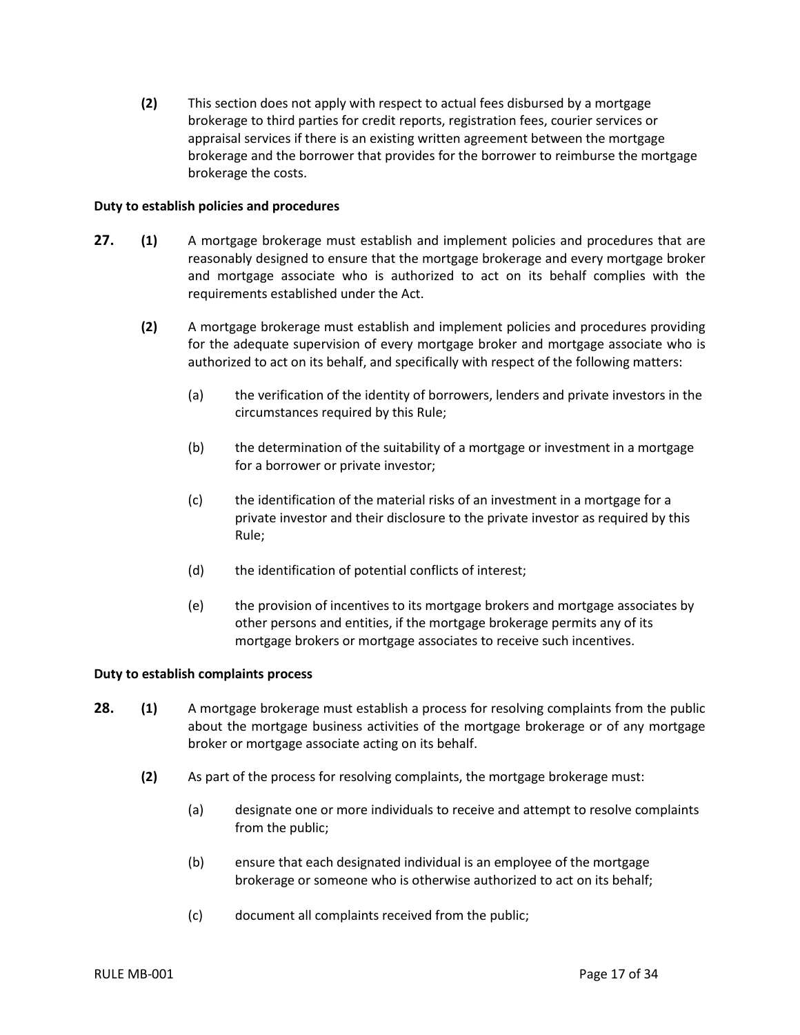**(2)** This section does not apply with respect to actual fees disbursed by a mortgage brokerage to third parties for credit reports, registration fees, courier services or appraisal services if there is an existing written agreement between the mortgage brokerage and the borrower that provides for the borrower to reimburse the mortgage brokerage the costs.

## **Duty to establish policies and procedures**

- **27. (1)** A mortgage brokerage must establish and implement policies and procedures that are reasonably designed to ensure that the mortgage brokerage and every mortgage broker and mortgage associate who is authorized to act on its behalf complies with the requirements established under the Act.
	- **(2)** A mortgage brokerage must establish and implement policies and procedures providing for the adequate supervision of every mortgage broker and mortgage associate who is authorized to act on its behalf, and specifically with respect of the following matters:
		- (a) the verification of the identity of borrowers, lenders and private investors in the circumstances required by this Rule;
		- (b) the determination of the suitability of a mortgage or investment in a mortgage for a borrower or private investor;
		- (c) the identification of the material risks of an investment in a mortgage for a private investor and their disclosure to the private investor as required by this Rule;
		- (d) the identification of potential conflicts of interest;
		- (e) the provision of incentives to its mortgage brokers and mortgage associates by other persons and entities, if the mortgage brokerage permits any of its mortgage brokers or mortgage associates to receive such incentives.

#### <span id="page-19-0"></span>**Duty to establish complaints process**

- **28. (1)** A mortgage brokerage must establish a process for resolving complaints from the public about the mortgage business activities of the mortgage brokerage or of any mortgage broker or mortgage associate acting on its behalf.
	- **(2)** As part of the process for resolving complaints, the mortgage brokerage must:
		- (a) designate one or more individuals to receive and attempt to resolve complaints from the public;
		- (b) ensure that each designated individual is an employee of the mortgage brokerage or someone who is otherwise authorized to act on its behalf;
		- (c) document all complaints received from the public;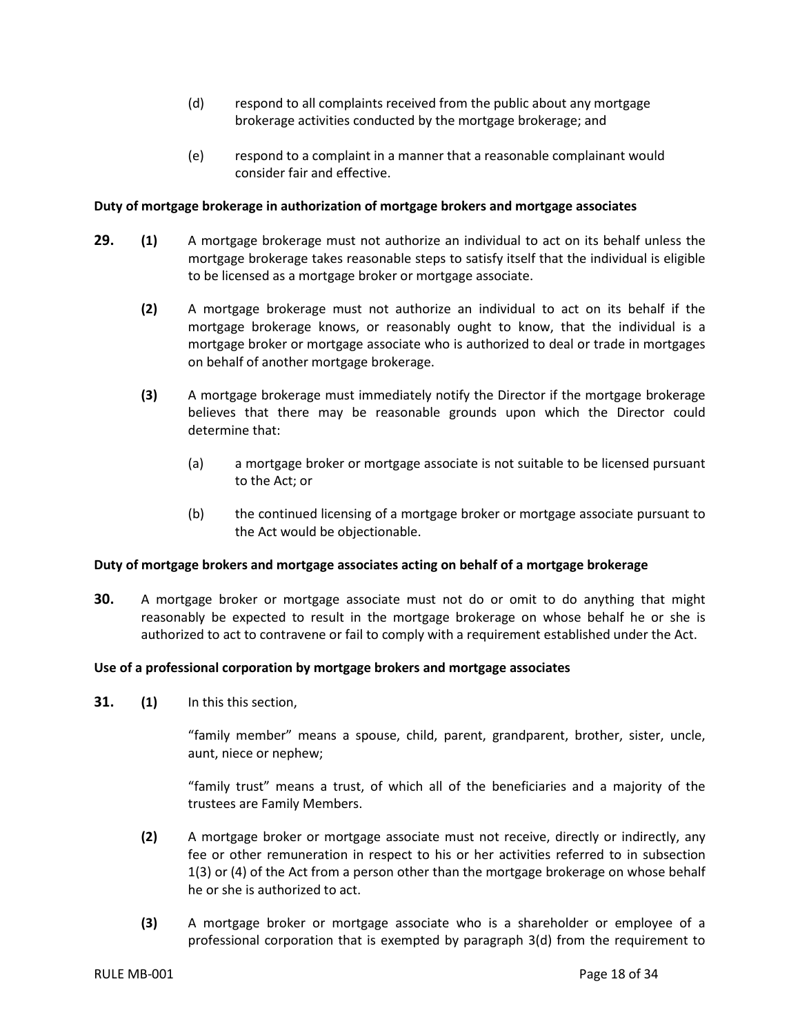- (d) respond to all complaints received from the public about any mortgage brokerage activities conducted by the mortgage brokerage; and
- (e) respond to a complaint in a manner that a reasonable complainant would consider fair and effective.

## <span id="page-20-0"></span>**Duty of mortgage brokerage in authorization of mortgage brokers and mortgage associates**

- **29. (1)** A mortgage brokerage must not authorize an individual to act on its behalf unless the mortgage brokerage takes reasonable steps to satisfy itself that the individual is eligible to be licensed as a mortgage broker or mortgage associate.
	- **(2)** A mortgage brokerage must not authorize an individual to act on its behalf if the mortgage brokerage knows, or reasonably ought to know, that the individual is a mortgage broker or mortgage associate who is authorized to deal or trade in mortgages on behalf of another mortgage brokerage.
	- **(3)** A mortgage brokerage must immediately notify the Director if the mortgage brokerage believes that there may be reasonable grounds upon which the Director could determine that:
		- (a) a mortgage broker or mortgage associate is not suitable to be licensed pursuant to the Act; or
		- (b) the continued licensing of a mortgage broker or mortgage associate pursuant to the Act would be objectionable.

#### <span id="page-20-1"></span>**Duty of mortgage brokers and mortgage associates acting on behalf of a mortgage brokerage**

**30.** A mortgage broker or mortgage associate must not do or omit to do anything that might reasonably be expected to result in the mortgage brokerage on whose behalf he or she is authorized to act to contravene or fail to comply with a requirement established under the Act.

#### <span id="page-20-2"></span>**Use of a professional corporation by mortgage brokers and mortgage associates**

**31. (1)** In this this section,

"family member" means a spouse, child, parent, grandparent, brother, sister, uncle, aunt, niece or nephew;

"family trust" means a trust, of which all of the beneficiaries and a majority of the trustees are Family Members.

- **(2)** A mortgage broker or mortgage associate must not receive, directly or indirectly, any fee or other remuneration in respect to his or her activities referred to in subsection 1(3) or (4) of the Act from a person other than the mortgage brokerage on whose behalf he or she is authorized to act.
- **(3)** A mortgage broker or mortgage associate who is a shareholder or employee of a professional corporation that is exempted by paragraph 3(d) from the requirement to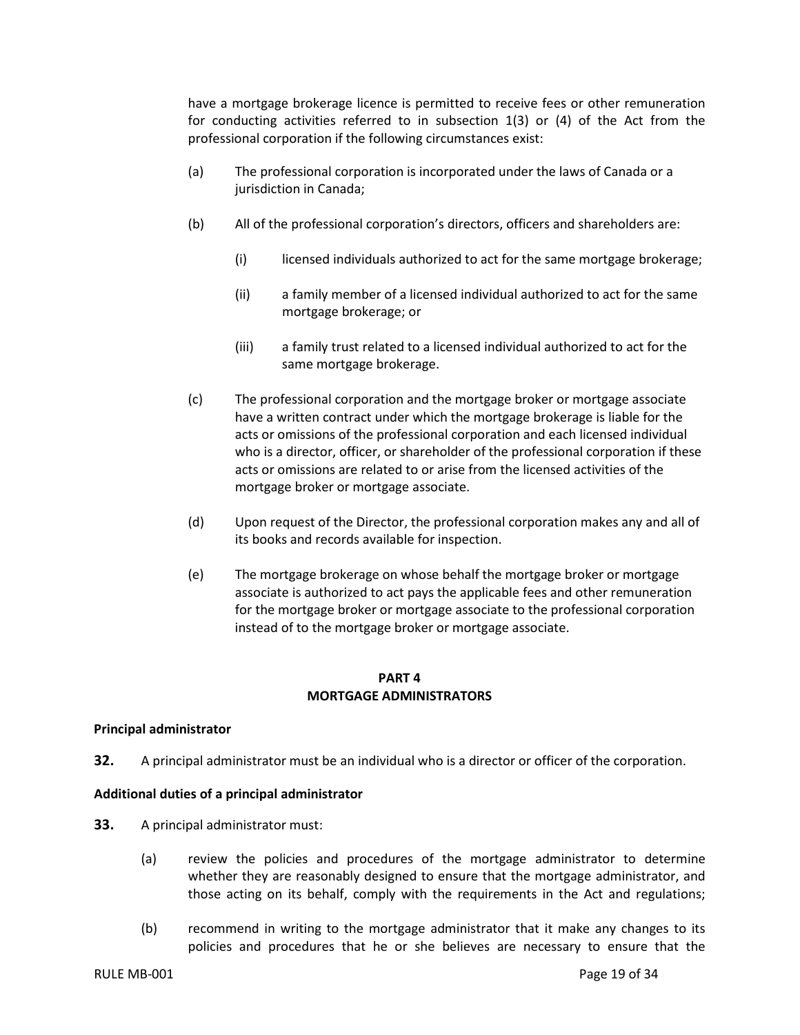have a mortgage brokerage licence is permitted to receive fees or other remuneration for conducting activities referred to in subsection 1(3) or (4) of the Act from the professional corporation if the following circumstances exist:

- (a) The professional corporation is incorporated under the laws of Canada or a jurisdiction in Canada;
- (b) All of the professional corporation's directors, officers and shareholders are:
	- (i) licensed individuals authorized to act for the same mortgage brokerage;
	- (ii) a family member of a licensed individual authorized to act for the same mortgage brokerage; or
	- (iii) a family trust related to a licensed individual authorized to act for the same mortgage brokerage.
- (c) The professional corporation and the mortgage broker or mortgage associate have a written contract under which the mortgage brokerage is liable for the acts or omissions of the professional corporation and each licensed individual who is a director, officer, or shareholder of the professional corporation if these acts or omissions are related to or arise from the licensed activities of the mortgage broker or mortgage associate.
- (d) Upon request of the Director, the professional corporation makes any and all of its books and records available for inspection.
- (e) The mortgage brokerage on whose behalf the mortgage broker or mortgage associate is authorized to act pays the applicable fees and other remuneration for the mortgage broker or mortgage associate to the professional corporation instead of to the mortgage broker or mortgage associate.

## **PART 4 MORTGAGE ADMINISTRATORS**

## <span id="page-21-1"></span><span id="page-21-0"></span>**Principal administrator**

**32.** A principal administrator must be an individual who is a director or officer of the corporation.

## <span id="page-21-2"></span>**Additional duties of a principal administrator**

- **33.** A principal administrator must:
	- (a) review the policies and procedures of the mortgage administrator to determine whether they are reasonably designed to ensure that the mortgage administrator, and those acting on its behalf, comply with the requirements in the Act and regulations;
	- (b) recommend in writing to the mortgage administrator that it make any changes to its policies and procedures that he or she believes are necessary to ensure that the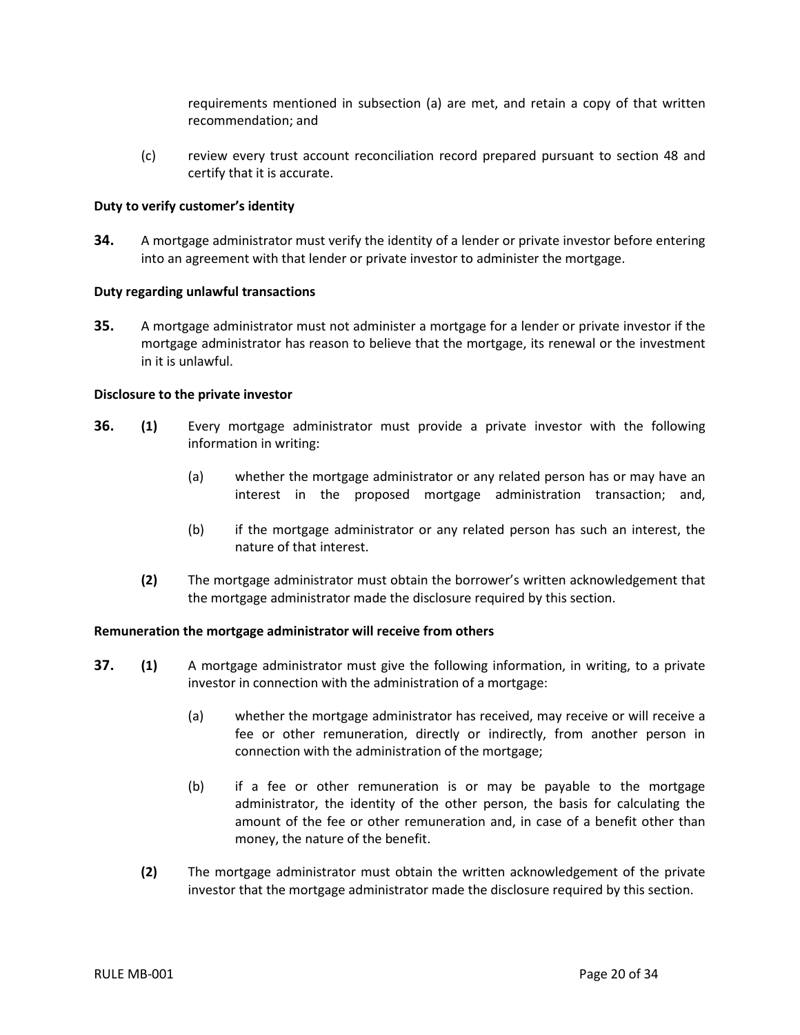requirements mentioned in subsection (a) are met, and retain a copy of that written recommendation; and

(c) review every trust account reconciliation record prepared pursuant to section 48 and certify that it is accurate.

#### <span id="page-22-0"></span>**Duty to verify customer's identity**

**34.** A mortgage administrator must verify the identity of a lender or private investor before entering into an agreement with that lender or private investor to administer the mortgage.

#### <span id="page-22-1"></span>**Duty regarding unlawful transactions**

**35.** A mortgage administrator must not administer a mortgage for a lender or private investor if the mortgage administrator has reason to believe that the mortgage, its renewal or the investment in it is unlawful.

#### <span id="page-22-2"></span>**Disclosure to the private investor**

- **36. (1)** Every mortgage administrator must provide a private investor with the following information in writing:
	- (a) whether the mortgage administrator or any related person has or may have an interest in the proposed mortgage administration transaction; and,
	- (b) if the mortgage administrator or any related person has such an interest, the nature of that interest.
	- **(2)** The mortgage administrator must obtain the borrower's written acknowledgement that the mortgage administrator made the disclosure required by this section.

#### <span id="page-22-3"></span>**Remuneration the mortgage administrator will receive from others**

- <span id="page-22-4"></span>**37. (1)** A mortgage administrator must give the following information, in writing, to a private investor in connection with the administration of a mortgage:
	- (a) whether the mortgage administrator has received, may receive or will receive a fee or other remuneration, directly or indirectly, from another person in connection with the administration of the mortgage;
	- (b) if a fee or other remuneration is or may be payable to the mortgage administrator, the identity of the other person, the basis for calculating the amount of the fee or other remuneration and, in case of a benefit other than money, the nature of the benefit.
	- **(2)** The mortgage administrator must obtain the written acknowledgement of the private investor that the mortgage administrator made the disclosure required by this section.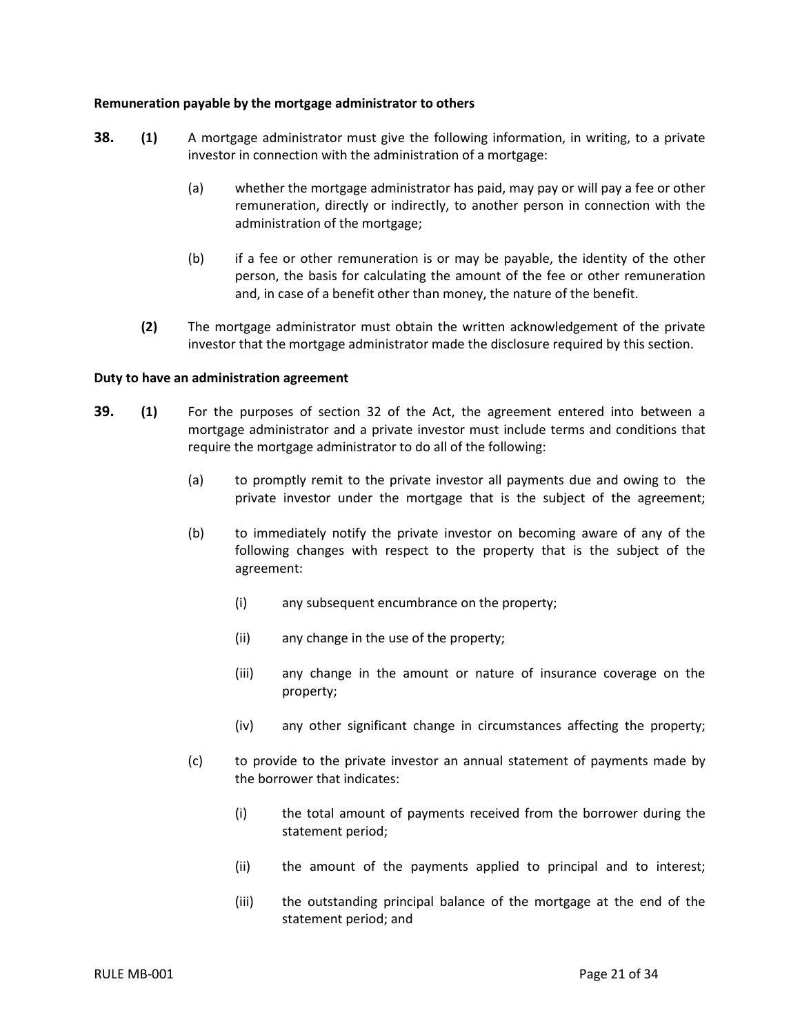#### **Remuneration payable by the mortgage administrator to others**

- **38. (1)** A mortgage administrator must give the following information, in writing, to a private investor in connection with the administration of a mortgage:
	- (a) whether the mortgage administrator has paid, may pay or will pay a fee or other remuneration, directly or indirectly, to another person in connection with the administration of the mortgage;
	- (b) if a fee or other remuneration is or may be payable, the identity of the other person, the basis for calculating the amount of the fee or other remuneration and, in case of a benefit other than money, the nature of the benefit.
	- **(2)** The mortgage administrator must obtain the written acknowledgement of the private investor that the mortgage administrator made the disclosure required by this section.

## <span id="page-23-0"></span>**Duty to have an administration agreement**

- **39. (1)** For the purposes of section 32 of the Act, the agreement entered into between a mortgage administrator and a private investor must include terms and conditions that require the mortgage administrator to do all of the following:
	- (a) to promptly remit to the private investor all payments due and owing to the private investor under the mortgage that is the subject of the agreement;
	- (b) to immediately notify the private investor on becoming aware of any of the following changes with respect to the property that is the subject of the agreement:
		- (i) any subsequent encumbrance on the property;
		- (ii) any change in the use of the property;
		- (iii) any change in the amount or nature of insurance coverage on the property;
		- (iv) any other significant change in circumstances affecting the property;
	- (c) to provide to the private investor an annual statement of payments made by the borrower that indicates:
		- (i) the total amount of payments received from the borrower during the statement period;
		- (ii) the amount of the payments applied to principal and to interest;
		- (iii) the outstanding principal balance of the mortgage at the end of the statement period; and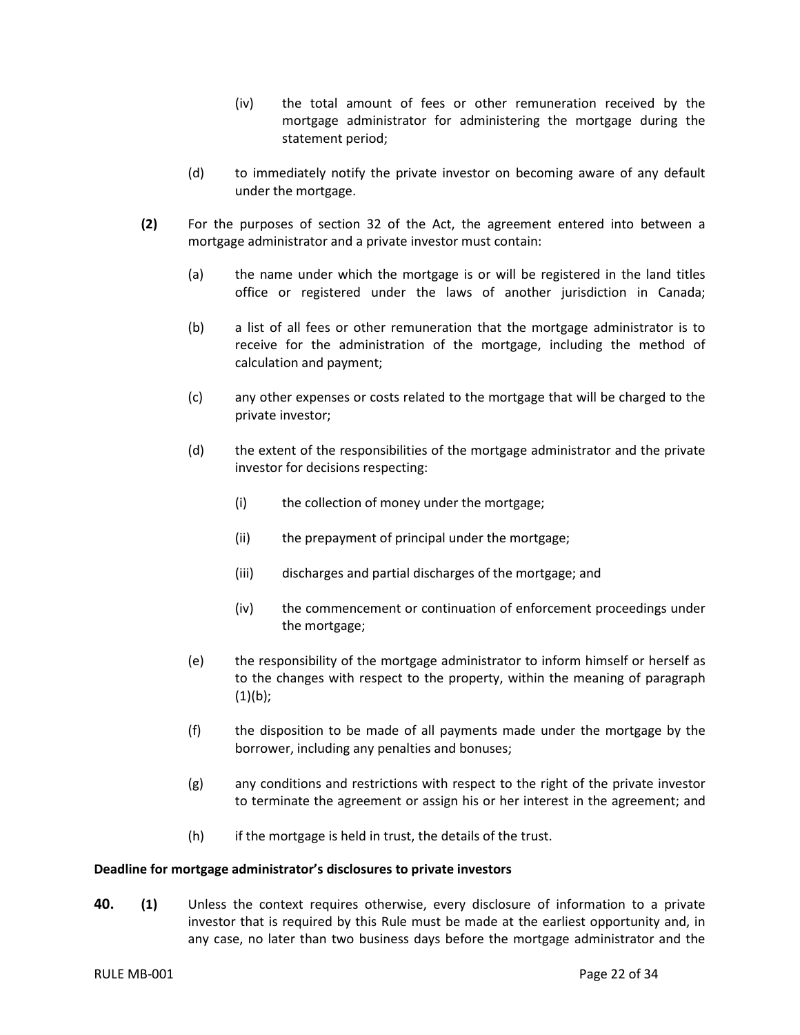- (iv) the total amount of fees or other remuneration received by the mortgage administrator for administering the mortgage during the statement period;
- (d) to immediately notify the private investor on becoming aware of any default under the mortgage.
- **(2)** For the purposes of section 32 of the Act, the agreement entered into between a mortgage administrator and a private investor must contain:
	- (a) the name under which the mortgage is or will be registered in the land titles office or registered under the laws of another jurisdiction in Canada;
	- (b) a list of all fees or other remuneration that the mortgage administrator is to receive for the administration of the mortgage, including the method of calculation and payment;
	- (c) any other expenses or costs related to the mortgage that will be charged to the private investor;
	- (d) the extent of the responsibilities of the mortgage administrator and the private investor for decisions respecting:
		- (i) the collection of money under the mortgage;
		- (ii) the prepayment of principal under the mortgage;
		- (iii) discharges and partial discharges of the mortgage; and
		- (iv) the commencement or continuation of enforcement proceedings under the mortgage;
	- (e) the responsibility of the mortgage administrator to inform himself or herself as to the changes with respect to the property, within the meaning of paragraph  $(1)(b)$ ;
	- (f) the disposition to be made of all payments made under the mortgage by the borrower, including any penalties and bonuses;
	- (g) any conditions and restrictions with respect to the right of the private investor to terminate the agreement or assign his or her interest in the agreement; and
	- (h) if the mortgage is held in trust, the details of the trust.

#### <span id="page-24-0"></span>**Deadline for mortgage administrator's disclosures to private investors**

**40. (1)** Unless the context requires otherwise, every disclosure of information to a private investor that is required by this Rule must be made at the earliest opportunity and, in any case, no later than two business days before the mortgage administrator and the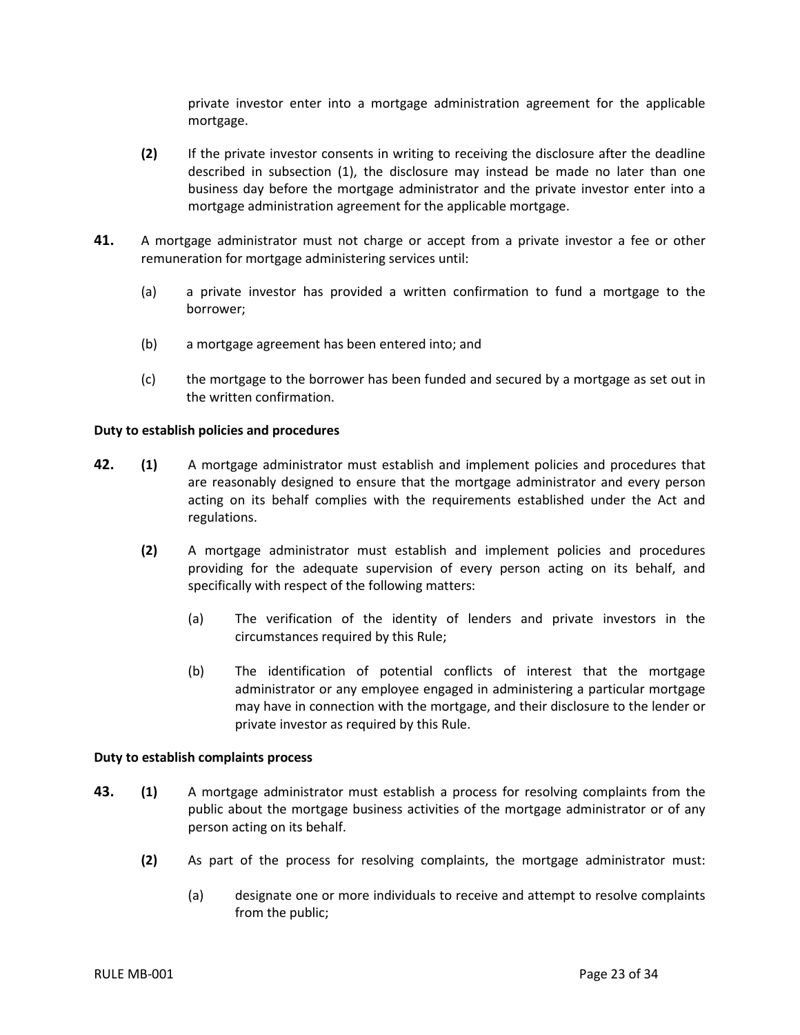private investor enter into a mortgage administration agreement for the applicable mortgage.

- **(2)** If the private investor consents in writing to receiving the disclosure after the deadline described in subsection (1), the disclosure may instead be made no later than one business day before the mortgage administrator and the private investor enter into a mortgage administration agreement for the applicable mortgage.
- **41.** A mortgage administrator must not charge or accept from a private investor a fee or other remuneration for mortgage administering services until:
	- (a) a private investor has provided a written confirmation to fund a mortgage to the borrower;
	- (b) a mortgage agreement has been entered into; and
	- (c) the mortgage to the borrower has been funded and secured by a mortgage as set out in the written confirmation.

#### <span id="page-25-0"></span>**Duty to establish policies and procedures**

- **42. (1)** A mortgage administrator must establish and implement policies and procedures that are reasonably designed to ensure that the mortgage administrator and every person acting on its behalf complies with the requirements established under the Act and regulations.
	- **(2)** A mortgage administrator must establish and implement policies and procedures providing for the adequate supervision of every person acting on its behalf, and specifically with respect of the following matters:
		- (a) The verification of the identity of lenders and private investors in the circumstances required by this Rule;
		- (b) The identification of potential conflicts of interest that the mortgage administrator or any employee engaged in administering a particular mortgage may have in connection with the mortgage, and their disclosure to the lender or private investor as required by this Rule.

#### <span id="page-25-1"></span>**Duty to establish complaints process**

- **43. (1)** A mortgage administrator must establish a process for resolving complaints from the public about the mortgage business activities of the mortgage administrator or of any person acting on its behalf.
	- **(2)** As part of the process for resolving complaints, the mortgage administrator must:
		- (a) designate one or more individuals to receive and attempt to resolve complaints from the public;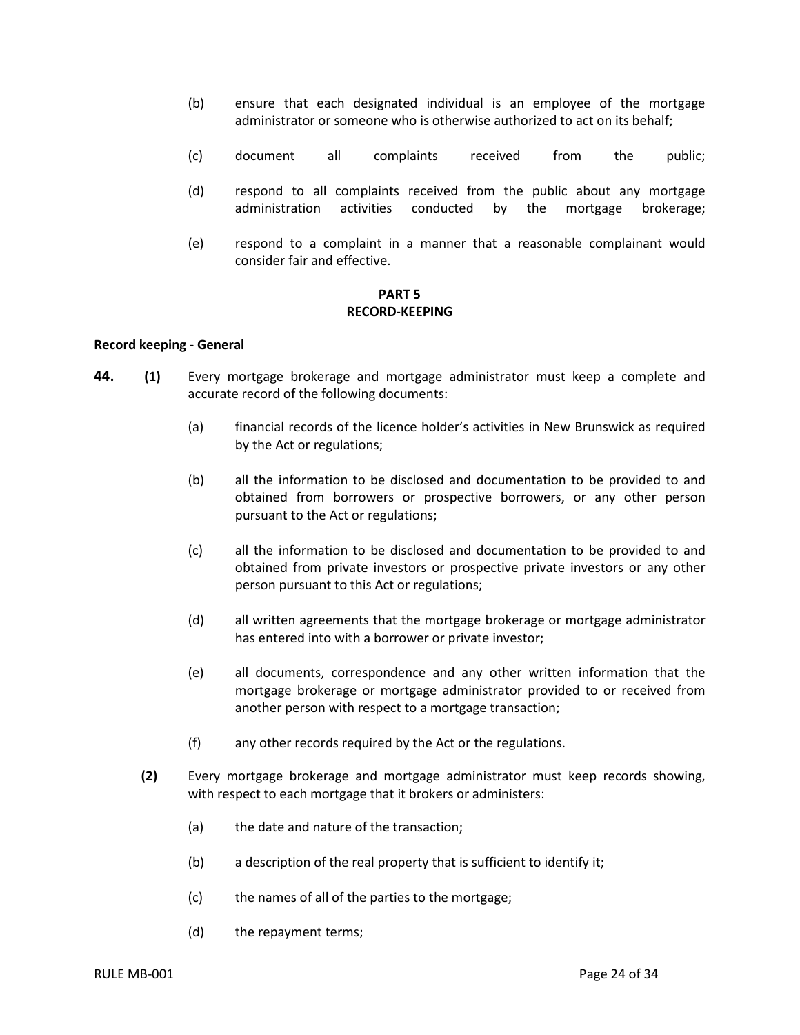- (b) ensure that each designated individual is an employee of the mortgage administrator or someone who is otherwise authorized to act on its behalf;
- (c) document all complaints received from the public;
- (d) respond to all complaints received from the public about any mortgage administration activities conducted by the mortgage brokerage;
- (e) respond to a complaint in a manner that a reasonable complainant would consider fair and effective.

## **PART 5 RECORD-KEEPING**

#### <span id="page-26-1"></span><span id="page-26-0"></span>**Record keeping - General**

- **44. (1)** Every mortgage brokerage and mortgage administrator must keep a complete and accurate record of the following documents:
	- (a) financial records of the licence holder's activities in New Brunswick as required by the Act or regulations;
	- (b) all the information to be disclosed and documentation to be provided to and obtained from borrowers or prospective borrowers, or any other person pursuant to the Act or regulations;
	- (c) all the information to be disclosed and documentation to be provided to and obtained from private investors or prospective private investors or any other person pursuant to this Act or regulations;
	- (d) all written agreements that the mortgage brokerage or mortgage administrator has entered into with a borrower or private investor;
	- (e) all documents, correspondence and any other written information that the mortgage brokerage or mortgage administrator provided to or received from another person with respect to a mortgage transaction;
	- (f) any other records required by the Act or the regulations.
	- **(2)** Every mortgage brokerage and mortgage administrator must keep records showing, with respect to each mortgage that it brokers or administers:
		- (a) the date and nature of the transaction;
		- (b) a description of the real property that is sufficient to identify it;
		- (c) the names of all of the parties to the mortgage;
		- (d) the repayment terms;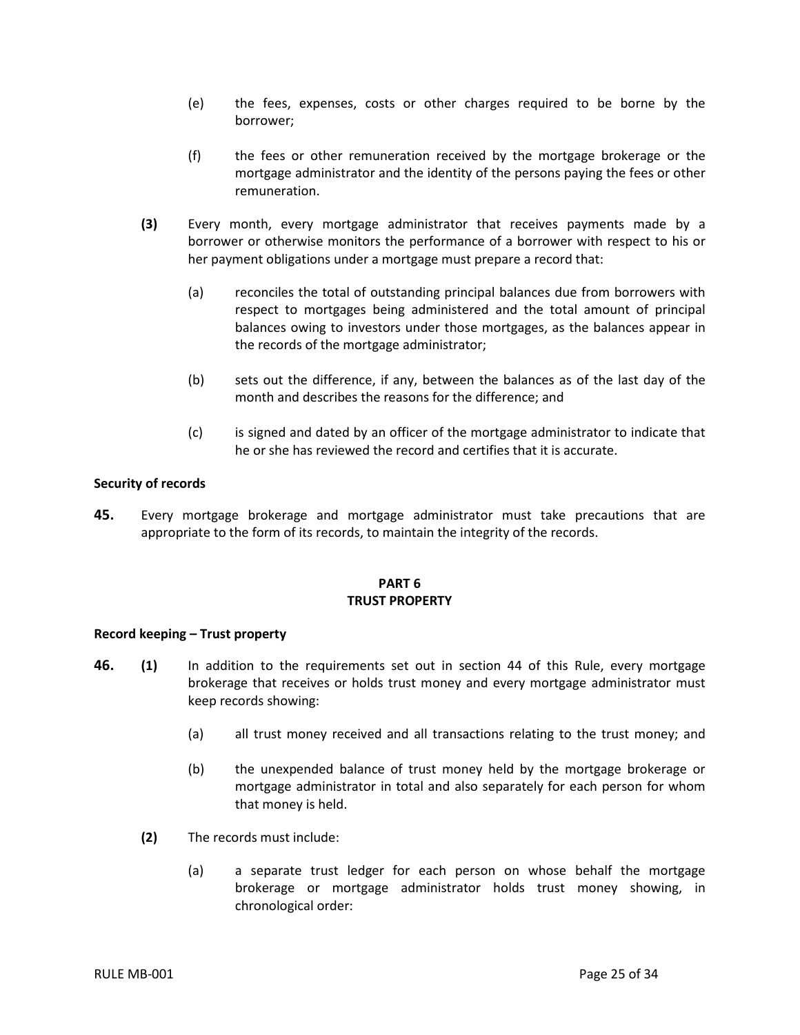- (e) the fees, expenses, costs or other charges required to be borne by the borrower;
- (f) the fees or other remuneration received by the mortgage brokerage or the mortgage administrator and the identity of the persons paying the fees or other remuneration.
- **(3)** Every month, every mortgage administrator that receives payments made by a borrower or otherwise monitors the performance of a borrower with respect to his or her payment obligations under a mortgage must prepare a record that:
	- (a) reconciles the total of outstanding principal balances due from borrowers with respect to mortgages being administered and the total amount of principal balances owing to investors under those mortgages, as the balances appear in the records of the mortgage administrator;
	- (b) sets out the difference, if any, between the balances as of the last day of the month and describes the reasons for the difference; and
	- (c) is signed and dated by an officer of the mortgage administrator to indicate that he or she has reviewed the record and certifies that it is accurate.

## <span id="page-27-0"></span>**Security of records**

**45.** Every mortgage brokerage and mortgage administrator must take precautions that are appropriate to the form of its records, to maintain the integrity of the records.

## **PART 6 TRUST PROPERTY**

#### <span id="page-27-2"></span><span id="page-27-1"></span>**Record keeping – Trust property**

- **46. (1)** In addition to the requirements set out in section 44 of this Rule, every mortgage brokerage that receives or holds trust money and every mortgage administrator must keep records showing:
	- (a) all trust money received and all transactions relating to the trust money; and
	- (b) the unexpended balance of trust money held by the mortgage brokerage or mortgage administrator in total and also separately for each person for whom that money is held.
	- **(2)** The records must include:
		- (a) a separate trust ledger for each person on whose behalf the mortgage brokerage or mortgage administrator holds trust money showing, in chronological order: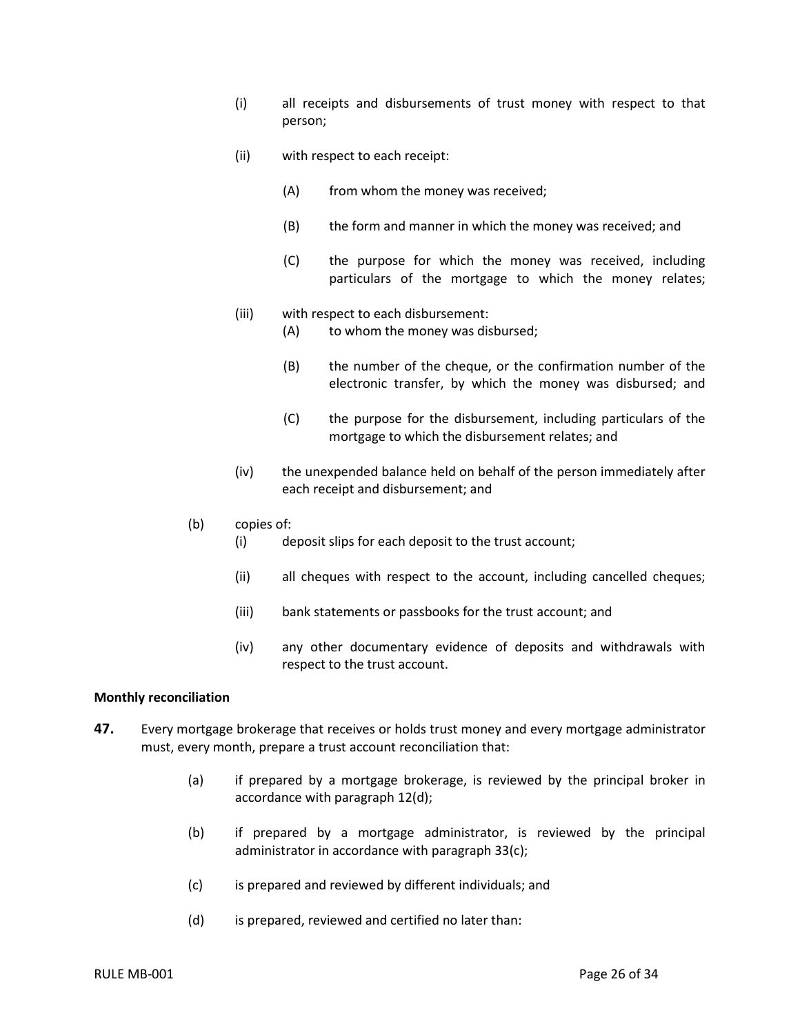- (i) all receipts and disbursements of trust money with respect to that person;
- (ii) with respect to each receipt:
	- (A) from whom the money was received;
	- (B) the form and manner in which the money was received; and
	- (C) the purpose for which the money was received, including particulars of the mortgage to which the money relates;
- (iii) with respect to each disbursement:
	- (A) to whom the money was disbursed;
	- (B) the number of the cheque, or the confirmation number of the electronic transfer, by which the money was disbursed; and
	- (C) the purpose for the disbursement, including particulars of the mortgage to which the disbursement relates; and
- (iv) the unexpended balance held on behalf of the person immediately after each receipt and disbursement; and
- (b) copies of:
	- (i) deposit slips for each deposit to the trust account;
	- (ii) all cheques with respect to the account, including cancelled cheques;
	- (iii) bank statements or passbooks for the trust account; and
	- (iv) any other documentary evidence of deposits and withdrawals with respect to the trust account.

#### <span id="page-28-0"></span>**Monthly reconciliation**

- **47.** Every mortgage brokerage that receives or holds trust money and every mortgage administrator must, every month, prepare a trust account reconciliation that:
	- (a) if prepared by a mortgage brokerage, is reviewed by the principal broker in accordance with paragraph 12(d);
	- (b) if prepared by a mortgage administrator, is reviewed by the principal administrator in accordance with paragraph 33(c);
	- (c) is prepared and reviewed by different individuals; and
	- (d) is prepared, reviewed and certified no later than: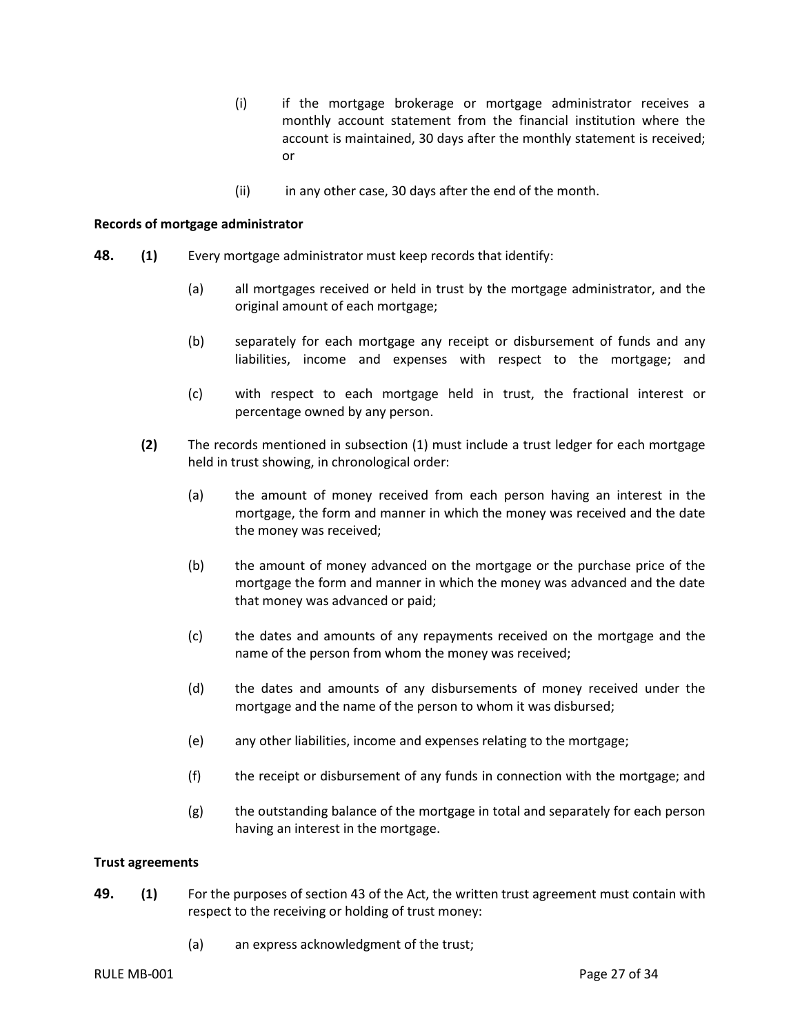- (i) if the mortgage brokerage or mortgage administrator receives a monthly account statement from the financial institution where the account is maintained, 30 days after the monthly statement is received; or
- (ii) in any other case, 30 days after the end of the month.

#### <span id="page-29-0"></span>**Records of mortgage administrator**

- **48. (1)** Every mortgage administrator must keep records that identify:
	- (a) all mortgages received or held in trust by the mortgage administrator, and the original amount of each mortgage;
	- (b) separately for each mortgage any receipt or disbursement of funds and any liabilities, income and expenses with respect to the mortgage; and
	- (c) with respect to each mortgage held in trust, the fractional interest or percentage owned by any person.
	- **(2)** The records mentioned in subsection (1) must include a trust ledger for each mortgage held in trust showing, in chronological order:
		- (a) the amount of money received from each person having an interest in the mortgage, the form and manner in which the money was received and the date the money was received;
		- (b) the amount of money advanced on the mortgage or the purchase price of the mortgage the form and manner in which the money was advanced and the date that money was advanced or paid;
		- (c) the dates and amounts of any repayments received on the mortgage and the name of the person from whom the money was received;
		- (d) the dates and amounts of any disbursements of money received under the mortgage and the name of the person to whom it was disbursed;
		- (e) any other liabilities, income and expenses relating to the mortgage;
		- (f) the receipt or disbursement of any funds in connection with the mortgage; and
		- (g) the outstanding balance of the mortgage in total and separately for each person having an interest in the mortgage.

#### <span id="page-29-1"></span>**Trust agreements**

- **49. (1)** For the purposes of section 43 of the Act, the written trust agreement must contain with respect to the receiving or holding of trust money:
	- (a) an express acknowledgment of the trust;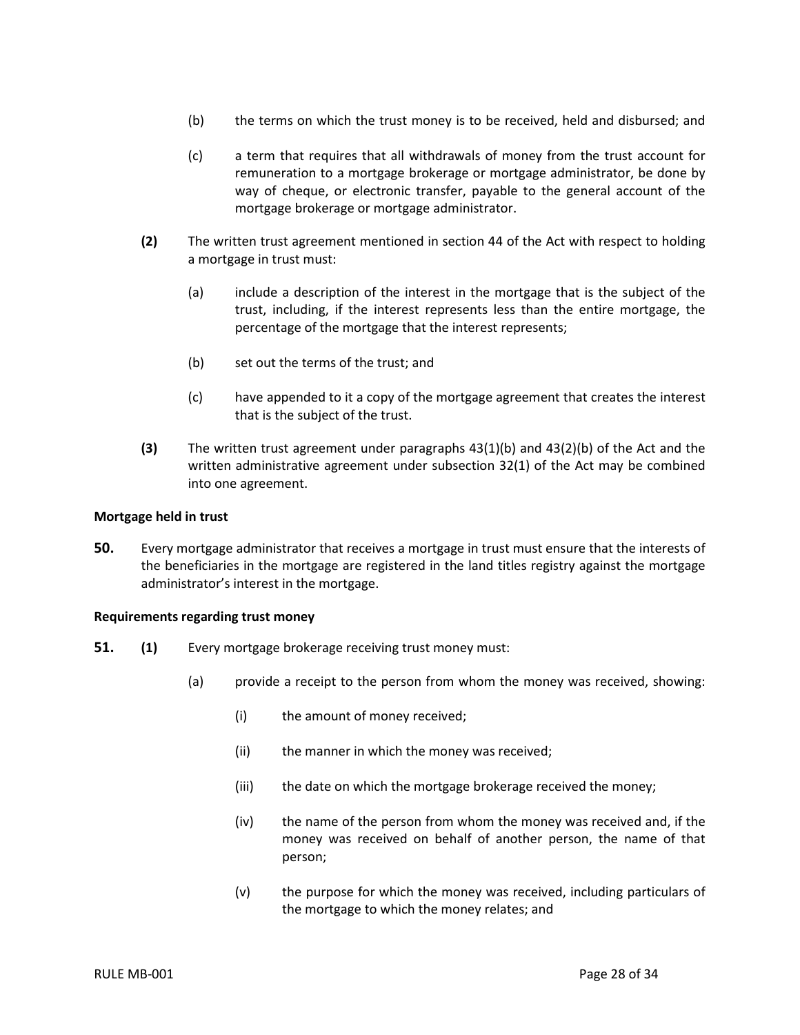- (b) the terms on which the trust money is to be received, held and disbursed; and
- (c) a term that requires that all withdrawals of money from the trust account for remuneration to a mortgage brokerage or mortgage administrator, be done by way of cheque, or electronic transfer, payable to the general account of the mortgage brokerage or mortgage administrator.
- **(2)** The written trust agreement mentioned in section 44 of the Act with respect to holding a mortgage in trust must:
	- (a) include a description of the interest in the mortgage that is the subject of the trust, including, if the interest represents less than the entire mortgage, the percentage of the mortgage that the interest represents;
	- (b) set out the terms of the trust; and
	- (c) have appended to it a copy of the mortgage agreement that creates the interest that is the subject of the trust.
- **(3)** The written trust agreement under paragraphs 43(1)(b) and 43(2)(b) of the Act and the written administrative agreement under subsection 32(1) of the Act may be combined into one agreement.

#### <span id="page-30-0"></span>**Mortgage held in trust**

**50.** Every mortgage administrator that receives a mortgage in trust must ensure that the interests of the beneficiaries in the mortgage are registered in the land titles registry against the mortgage administrator's interest in the mortgage.

#### <span id="page-30-1"></span>**Requirements regarding trust money**

- **51. (1)** Every mortgage brokerage receiving trust money must:
	- (a) provide a receipt to the person from whom the money was received, showing:
		- (i) the amount of money received;
		- (ii) the manner in which the money was received;
		- (iii) the date on which the mortgage brokerage received the money;
		- (iv) the name of the person from whom the money was received and, if the money was received on behalf of another person, the name of that person;
		- (v) the purpose for which the money was received, including particulars of the mortgage to which the money relates; and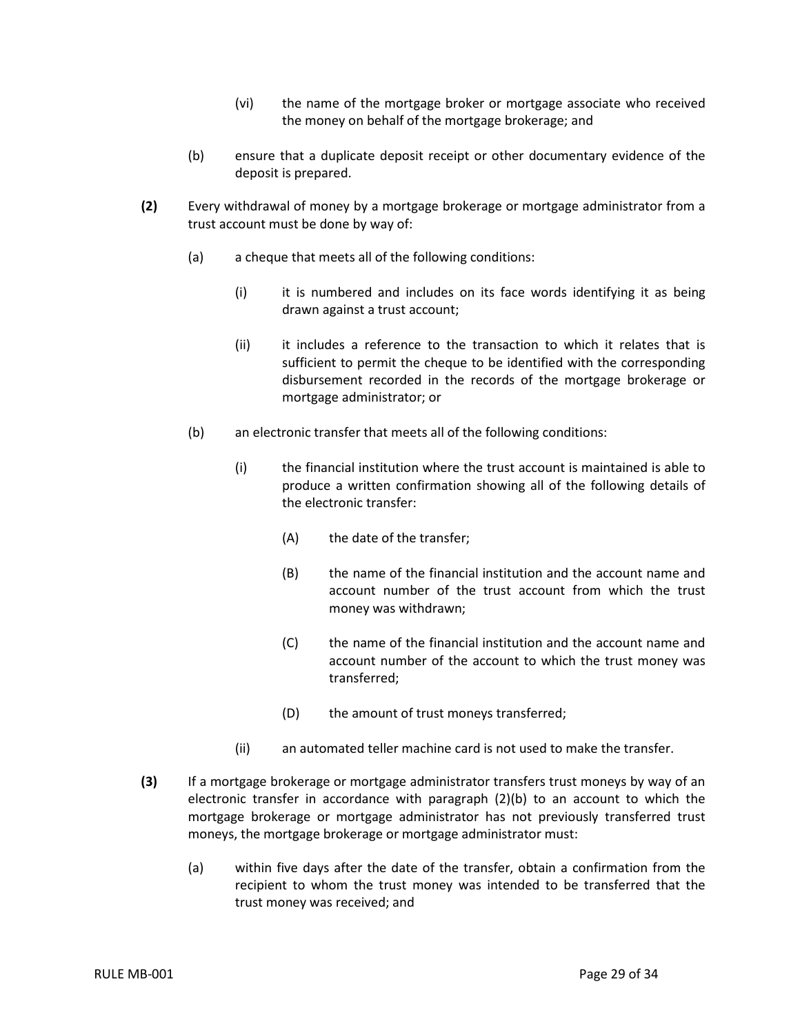- (vi) the name of the mortgage broker or mortgage associate who received the money on behalf of the mortgage brokerage; and
- (b) ensure that a duplicate deposit receipt or other documentary evidence of the deposit is prepared.
- **(2)** Every withdrawal of money by a mortgage brokerage or mortgage administrator from a trust account must be done by way of:
	- (a) a cheque that meets all of the following conditions:
		- (i) it is numbered and includes on its face words identifying it as being drawn against a trust account;
		- (ii) it includes a reference to the transaction to which it relates that is sufficient to permit the cheque to be identified with the corresponding disbursement recorded in the records of the mortgage brokerage or mortgage administrator; or
	- (b) an electronic transfer that meets all of the following conditions:
		- (i) the financial institution where the trust account is maintained is able to produce a written confirmation showing all of the following details of the electronic transfer:
			- (A) the date of the transfer;
			- (B) the name of the financial institution and the account name and account number of the trust account from which the trust money was withdrawn;
			- (C) the name of the financial institution and the account name and account number of the account to which the trust money was transferred;
			- (D) the amount of trust moneys transferred;
		- (ii) an automated teller machine card is not used to make the transfer.
- **(3)** If a mortgage brokerage or mortgage administrator transfers trust moneys by way of an electronic transfer in accordance with paragraph (2)(b) to an account to which the mortgage brokerage or mortgage administrator has not previously transferred trust moneys, the mortgage brokerage or mortgage administrator must:
	- (a) within five days after the date of the transfer, obtain a confirmation from the recipient to whom the trust money was intended to be transferred that the trust money was received; and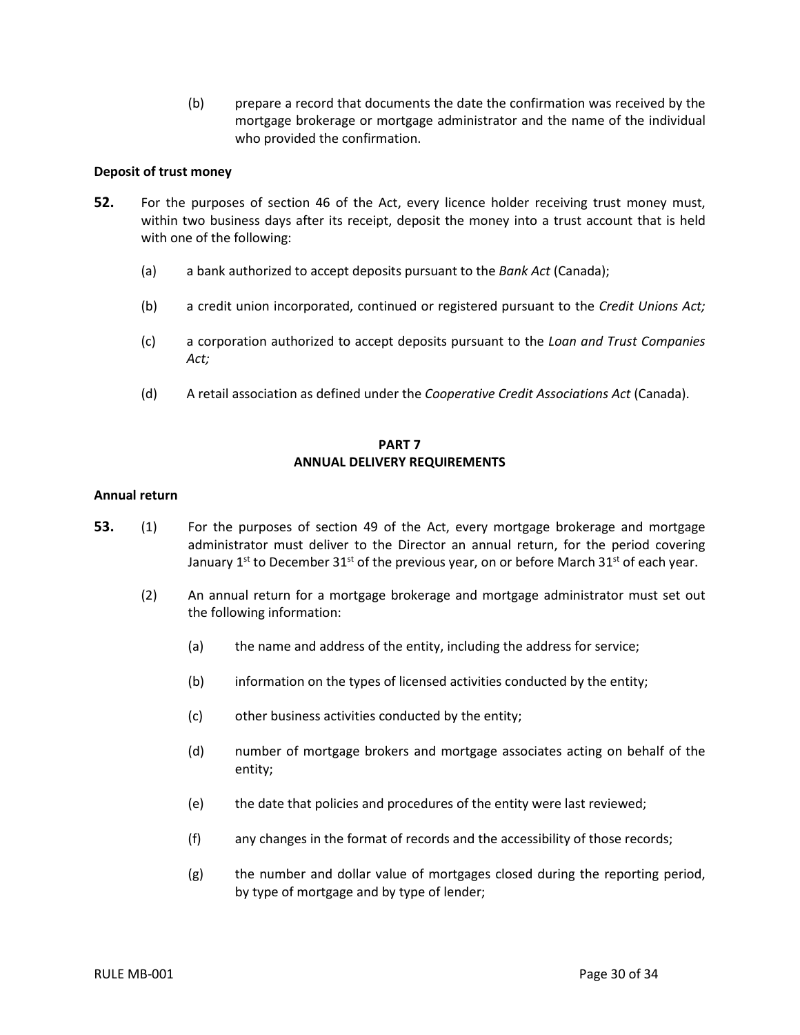(b) prepare a record that documents the date the confirmation was received by the mortgage brokerage or mortgage administrator and the name of the individual who provided the confirmation.

## <span id="page-32-0"></span>**Deposit of trust money**

- **52.** For the purposes of section 46 of the Act, every licence holder receiving trust money must, within two business days after its receipt, deposit the money into a trust account that is held with one of the following:
	- (a) a bank authorized to accept deposits pursuant to the *Bank Act* (Canada);
	- (b) a credit union incorporated, continued or registered pursuant to the *Credit Unions Act;*
	- (c) a corporation authorized to accept deposits pursuant to the *Loan and Trust Companies Act;*
	- (d) A retail association as defined under the *Cooperative Credit Associations Act* (Canada).

## **PART 7 ANNUAL DELIVERY REQUIREMENTS**

#### <span id="page-32-2"></span><span id="page-32-1"></span>**Annual return**

- **53.** (1) For the purposes of section 49 of the Act, every mortgage brokerage and mortgage administrator must deliver to the Director an annual return, for the period covering January 1st to December 31st of the previous year, on or before March 31st of each year.
	- (2) An annual return for a mortgage brokerage and mortgage administrator must set out the following information:
		- (a) the name and address of the entity, including the address for service;
		- (b) information on the types of licensed activities conducted by the entity;
		- (c) other business activities conducted by the entity;
		- (d) number of mortgage brokers and mortgage associates acting on behalf of the entity;
		- (e) the date that policies and procedures of the entity were last reviewed;
		- (f) any changes in the format of records and the accessibility of those records;
		- (g) the number and dollar value of mortgages closed during the reporting period, by type of mortgage and by type of lender;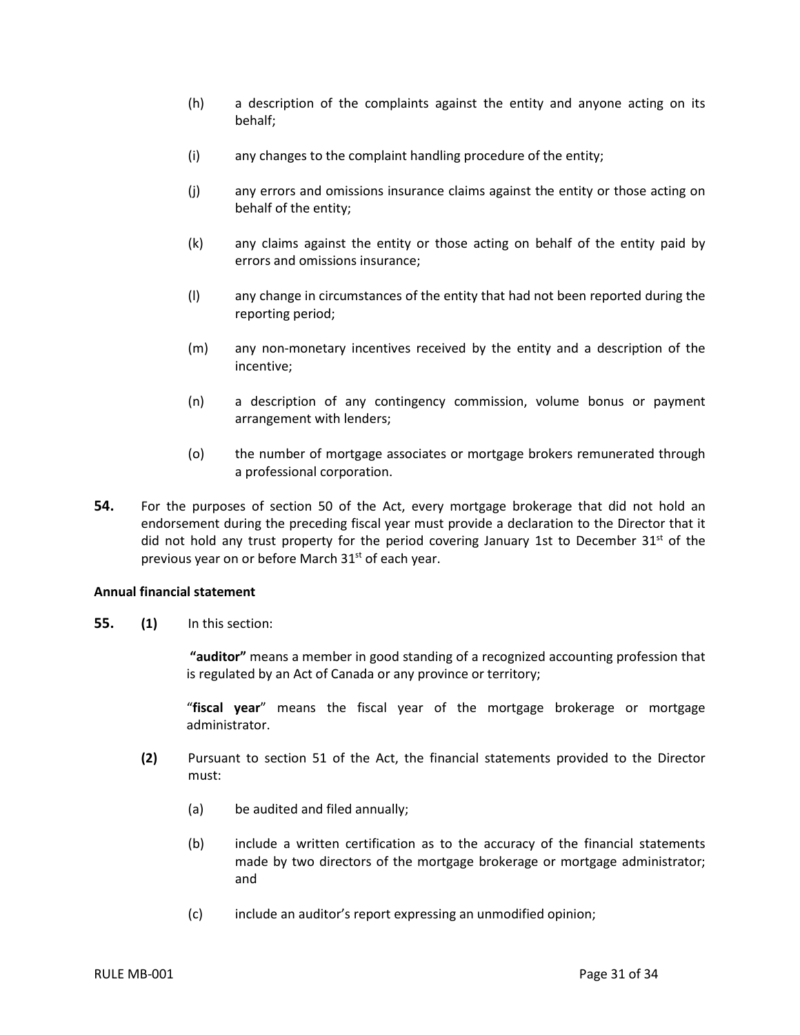- (h) a description of the complaints against the entity and anyone acting on its behalf;
- (i) any changes to the complaint handling procedure of the entity;
- (j) any errors and omissions insurance claims against the entity or those acting on behalf of the entity;
- (k) any claims against the entity or those acting on behalf of the entity paid by errors and omissions insurance;
- (l) any change in circumstances of the entity that had not been reported during the reporting period;
- (m) any non-monetary incentives received by the entity and a description of the incentive;
- (n) a description of any contingency commission, volume bonus or payment arrangement with lenders;
- (o) the number of mortgage associates or mortgage brokers remunerated through a professional corporation.
- **54.** For the purposes of section 50 of the Act, every mortgage brokerage that did not hold an endorsement during the preceding fiscal year must provide a declaration to the Director that it did not hold any trust property for the period covering January 1st to December  $31<sup>st</sup>$  of the previous year on or before March 31<sup>st</sup> of each year.

## <span id="page-33-0"></span>**Annual financial statement**

**55. (1)** In this section:

**"auditor"** means a member in good standing of a recognized accounting profession that is regulated by an Act of Canada or any province or territory;

"**fiscal year**" means the fiscal year of the mortgage brokerage or mortgage administrator.

- **(2)** Pursuant to section 51 of the Act, the financial statements provided to the Director must:
	- (a) be audited and filed annually;
	- (b) include a written certification as to the accuracy of the financial statements made by two directors of the mortgage brokerage or mortgage administrator; and
	- (c) include an auditor's report expressing an unmodified opinion;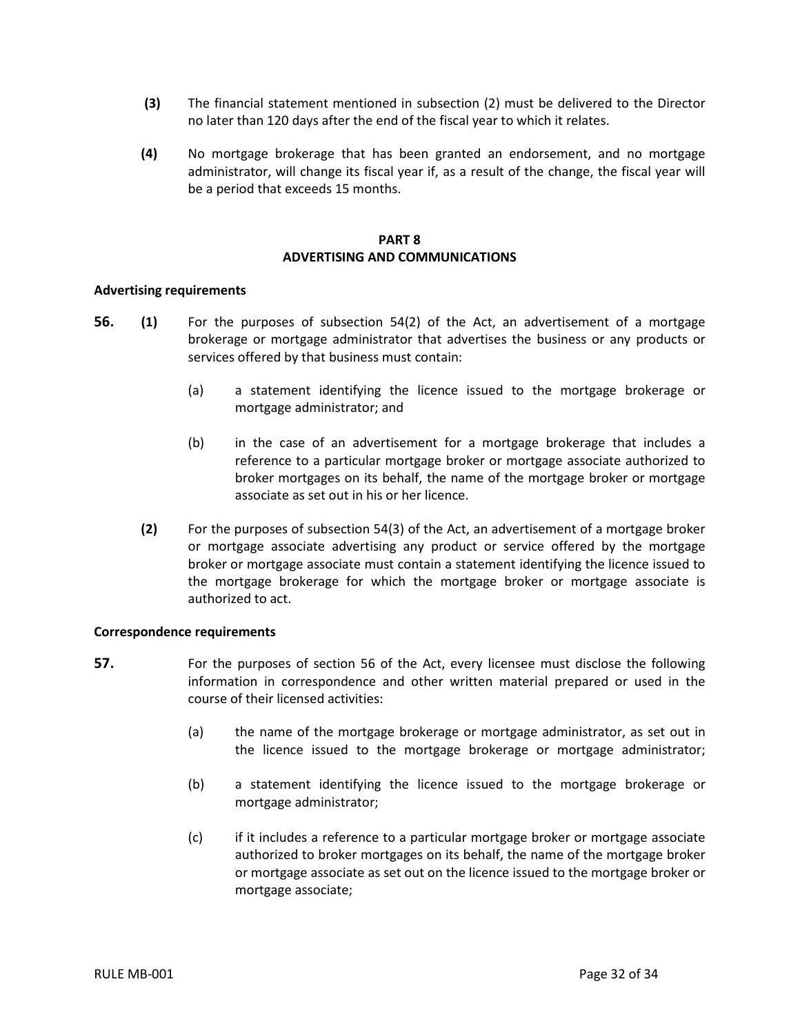- **(3)** The financial statement mentioned in subsection (2) must be delivered to the Director no later than 120 days after the end of the fiscal year to which it relates.
- **(4)** No mortgage brokerage that has been granted an endorsement, and no mortgage administrator, will change its fiscal year if, as a result of the change, the fiscal year will be a period that exceeds 15 months.

## <span id="page-34-0"></span>**PART 8 ADVERTISING AND COMMUNICATIONS**

#### <span id="page-34-1"></span>**Advertising requirements**

- **56. (1)** For the purposes of subsection 54(2) of the Act, an advertisement of a mortgage brokerage or mortgage administrator that advertises the business or any products or services offered by that business must contain:
	- (a) a statement identifying the licence issued to the mortgage brokerage or mortgage administrator; and
	- (b) in the case of an advertisement for a mortgage brokerage that includes a reference to a particular mortgage broker or mortgage associate authorized to broker mortgages on its behalf, the name of the mortgage broker or mortgage associate as set out in his or her licence.
	- **(2)** For the purposes of subsection 54(3) of the Act, an advertisement of a mortgage broker or mortgage associate advertising any product or service offered by the mortgage broker or mortgage associate must contain a statement identifying the licence issued to the mortgage brokerage for which the mortgage broker or mortgage associate is authorized to act.

#### <span id="page-34-2"></span>**Correspondence requirements**

- **57.** For the purposes of section 56 of the Act, every licensee must disclose the following information in correspondence and other written material prepared or used in the course of their licensed activities:
	- (a) the name of the mortgage brokerage or mortgage administrator, as set out in the licence issued to the mortgage brokerage or mortgage administrator;
	- (b) a statement identifying the licence issued to the mortgage brokerage or mortgage administrator;
	- (c) if it includes a reference to a particular mortgage broker or mortgage associate authorized to broker mortgages on its behalf, the name of the mortgage broker or mortgage associate as set out on the licence issued to the mortgage broker or mortgage associate;